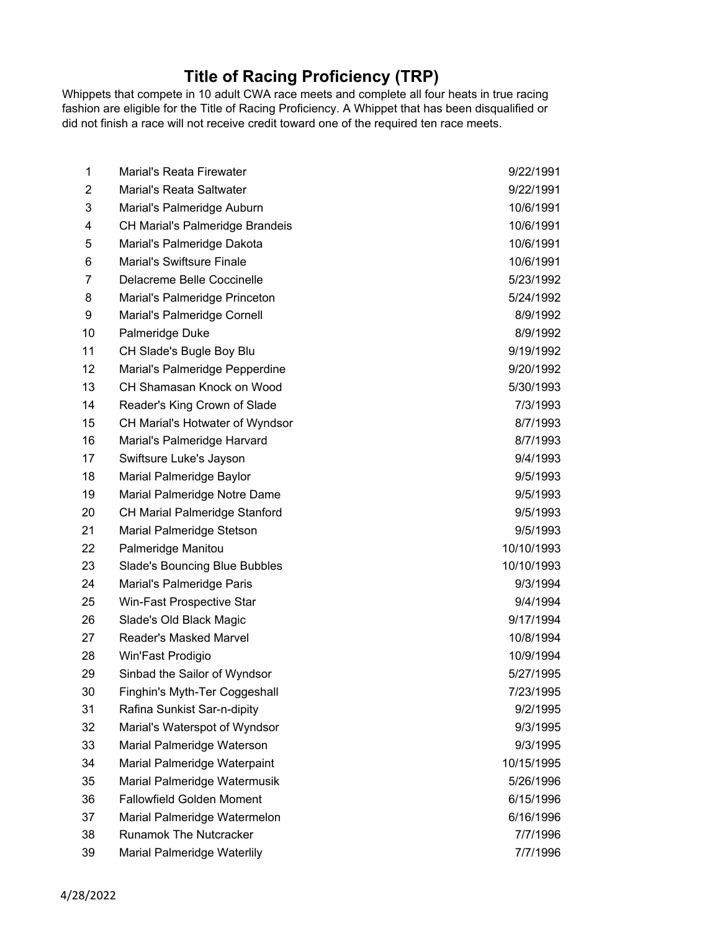## **Title of Racing Proficiency (TRP)**

Whippets that compete in 10 adult CWA race meets and complete all four heats in true racing fashion are eligible for the Title of Racing Proficiency. A Whippet that has been disqualified or did not finish a race will not receive credit toward one of the required ten race meets.

| 1              | Marial's Reata Firewater               | 9/22/1991  |
|----------------|----------------------------------------|------------|
| $\overline{2}$ | Marial's Reata Saltwater               | 9/22/1991  |
| 3              | Marial's Palmeridge Auburn             | 10/6/1991  |
| 4              | <b>CH Marial's Palmeridge Brandeis</b> | 10/6/1991  |
| 5              | Marial's Palmeridge Dakota             | 10/6/1991  |
| 6              | <b>Marial's Swiftsure Finale</b>       | 10/6/1991  |
| 7              | Delacreme Belle Coccinelle             | 5/23/1992  |
| 8              | Marial's Palmeridge Princeton          | 5/24/1992  |
| 9              | Marial's Palmeridge Cornell            | 8/9/1992   |
| 10             | Palmeridge Duke                        | 8/9/1992   |
| 11             | CH Slade's Bugle Boy Blu               | 9/19/1992  |
| 12             | Marial's Palmeridge Pepperdine         | 9/20/1992  |
| 13             | CH Shamasan Knock on Wood              | 5/30/1993  |
| 14             | Reader's King Crown of Slade           | 7/3/1993   |
| 15             | CH Marial's Hotwater of Wyndsor        | 8/7/1993   |
| 16             | Marial's Palmeridge Harvard            | 8/7/1993   |
| 17             | Swiftsure Luke's Jayson                | 9/4/1993   |
| 18             | Marial Palmeridge Baylor               | 9/5/1993   |
| 19             | Marial Palmeridge Notre Dame           | 9/5/1993   |
| 20             | <b>CH Marial Palmeridge Stanford</b>   | 9/5/1993   |
| 21             | Marial Palmeridge Stetson              | 9/5/1993   |
| 22             | Palmeridge Manitou                     | 10/10/1993 |
| 23             | <b>Slade's Bouncing Blue Bubbles</b>   | 10/10/1993 |
| 24             | Marial's Palmeridge Paris              | 9/3/1994   |
| 25             | Win-Fast Prospective Star              | 9/4/1994   |
| 26             | Slade's Old Black Magic                | 9/17/1994  |
| 27             | Reader's Masked Marvel                 | 10/8/1994  |
| 28             | Win'Fast Prodigio                      | 10/9/1994  |
| 29             | Sinbad the Sailor of Wyndsor           | 5/27/1995  |
| 30             | Finghin's Myth-Ter Coggeshall          | 7/23/1995  |
| 31             | Rafina Sunkist Sar-n-dipity            | 9/2/1995   |
| 32             | Marial's Waterspot of Wyndsor          | 9/3/1995   |
| 33             | Marial Palmeridge Waterson             | 9/3/1995   |
| 34             | Marial Palmeridge Waterpaint           | 10/15/1995 |
| 35             | Marial Palmeridge Watermusik           | 5/26/1996  |
| 36             | Fallowfield Golden Moment              | 6/15/1996  |
| 37             | Marial Palmeridge Watermelon           | 6/16/1996  |
| 38             | <b>Runamok The Nutcracker</b>          | 7/7/1996   |
| 39             | Marial Palmeridge Waterlily            | 7/7/1996   |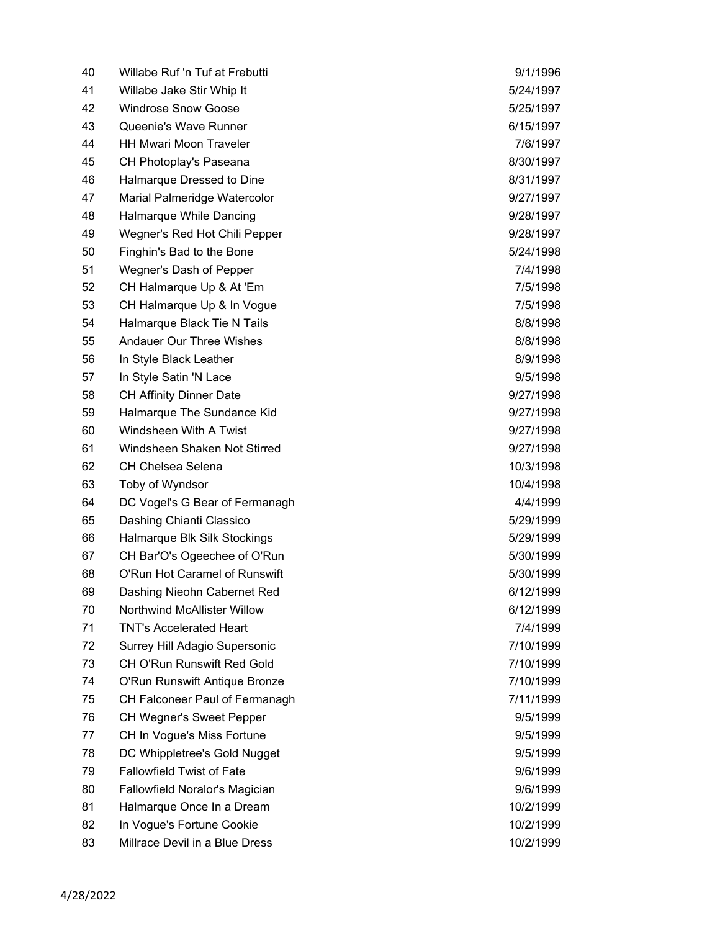| 40 | Willabe Ruf 'n Tuf at Frebutti   | 9/1/1996  |
|----|----------------------------------|-----------|
| 41 | Willabe Jake Stir Whip It        | 5/24/1997 |
| 42 | <b>Windrose Snow Goose</b>       | 5/25/1997 |
| 43 | Queenie's Wave Runner            | 6/15/1997 |
| 44 | <b>HH Mwari Moon Traveler</b>    | 7/6/1997  |
| 45 | CH Photoplay's Paseana           | 8/30/1997 |
| 46 | Halmarque Dressed to Dine        | 8/31/1997 |
| 47 | Marial Palmeridge Watercolor     | 9/27/1997 |
| 48 | Halmarque While Dancing          | 9/28/1997 |
| 49 | Wegner's Red Hot Chili Pepper    | 9/28/1997 |
| 50 | Finghin's Bad to the Bone        | 5/24/1998 |
| 51 | Wegner's Dash of Pepper          | 7/4/1998  |
| 52 | CH Halmarque Up & At 'Em         | 7/5/1998  |
| 53 | CH Halmarque Up & In Vogue       | 7/5/1998  |
| 54 | Halmarque Black Tie N Tails      | 8/8/1998  |
| 55 | <b>Andauer Our Three Wishes</b>  | 8/8/1998  |
| 56 | In Style Black Leather           | 8/9/1998  |
| 57 | In Style Satin 'N Lace           | 9/5/1998  |
| 58 | <b>CH Affinity Dinner Date</b>   | 9/27/1998 |
| 59 | Halmarque The Sundance Kid       | 9/27/1998 |
| 60 | Windsheen With A Twist           | 9/27/1998 |
| 61 | Windsheen Shaken Not Stirred     | 9/27/1998 |
| 62 | <b>CH Chelsea Selena</b>         | 10/3/1998 |
| 63 | Toby of Wyndsor                  | 10/4/1998 |
| 64 | DC Vogel's G Bear of Fermanagh   | 4/4/1999  |
| 65 | Dashing Chianti Classico         | 5/29/1999 |
| 66 | Halmarque Blk Silk Stockings     | 5/29/1999 |
| 67 | CH Bar'O's Ogeechee of O'Run     | 5/30/1999 |
| 68 | O'Run Hot Caramel of Runswift    | 5/30/1999 |
| 69 | Dashing Nieohn Cabernet Red      | 6/12/1999 |
| 70 | Northwind McAllister Willow      | 6/12/1999 |
| 71 | <b>TNT's Accelerated Heart</b>   | 7/4/1999  |
| 72 | Surrey Hill Adagio Supersonic    | 7/10/1999 |
| 73 | CH O'Run Runswift Red Gold       | 7/10/1999 |
| 74 | O'Run Runswift Antique Bronze    | 7/10/1999 |
| 75 | CH Falconeer Paul of Fermanagh   | 7/11/1999 |
| 76 | <b>CH Wegner's Sweet Pepper</b>  | 9/5/1999  |
| 77 | CH In Vogue's Miss Fortune       | 9/5/1999  |
| 78 | DC Whippletree's Gold Nugget     | 9/5/1999  |
| 79 | <b>Fallowfield Twist of Fate</b> | 9/6/1999  |
| 80 | Fallowfield Noralor's Magician   | 9/6/1999  |
| 81 | Halmarque Once In a Dream        | 10/2/1999 |
| 82 | In Vogue's Fortune Cookie        | 10/2/1999 |
| 83 | Millrace Devil in a Blue Dress   | 10/2/1999 |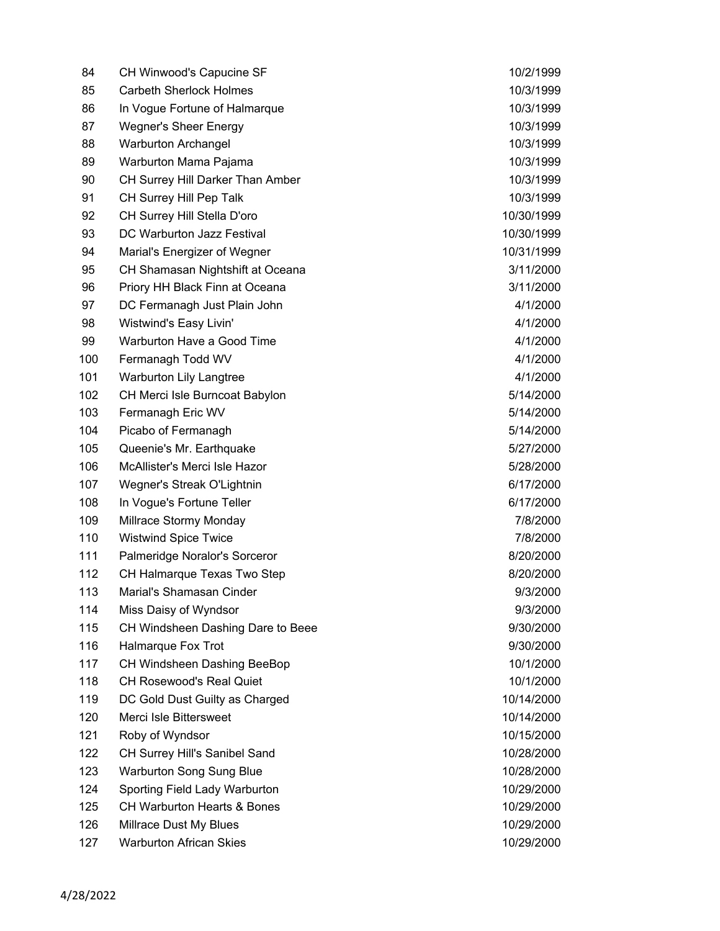| 84  | CH Winwood's Capucine SF               | 10/2/1999  |
|-----|----------------------------------------|------------|
| 85  | <b>Carbeth Sherlock Holmes</b>         | 10/3/1999  |
| 86  | In Vogue Fortune of Halmarque          | 10/3/1999  |
| 87  | <b>Wegner's Sheer Energy</b>           | 10/3/1999  |
| 88  | <b>Warburton Archangel</b>             | 10/3/1999  |
| 89  | Warburton Mama Pajama                  | 10/3/1999  |
| 90  | CH Surrey Hill Darker Than Amber       | 10/3/1999  |
| 91  | CH Surrey Hill Pep Talk                | 10/3/1999  |
| 92  | CH Surrey Hill Stella D'oro            | 10/30/1999 |
| 93  | DC Warburton Jazz Festival             | 10/30/1999 |
| 94  | Marial's Energizer of Wegner           | 10/31/1999 |
| 95  | CH Shamasan Nightshift at Oceana       | 3/11/2000  |
| 96  | Priory HH Black Finn at Oceana         | 3/11/2000  |
| 97  | DC Fermanagh Just Plain John           | 4/1/2000   |
| 98  | Wistwind's Easy Livin'                 | 4/1/2000   |
| 99  | Warburton Have a Good Time             | 4/1/2000   |
| 100 | Fermanagh Todd WV                      | 4/1/2000   |
| 101 | <b>Warburton Lily Langtree</b>         | 4/1/2000   |
| 102 | CH Merci Isle Burncoat Babylon         | 5/14/2000  |
| 103 | Fermanagh Eric WV                      | 5/14/2000  |
| 104 | Picabo of Fermanagh                    | 5/14/2000  |
| 105 | Queenie's Mr. Earthquake               | 5/27/2000  |
| 106 | McAllister's Merci Isle Hazor          | 5/28/2000  |
| 107 | Wegner's Streak O'Lightnin             | 6/17/2000  |
| 108 | In Vogue's Fortune Teller              | 6/17/2000  |
| 109 | Millrace Stormy Monday                 | 7/8/2000   |
| 110 | <b>Wistwind Spice Twice</b>            | 7/8/2000   |
| 111 | Palmeridge Noralor's Sorceror          | 8/20/2000  |
| 112 | CH Halmarque Texas Two Step            | 8/20/2000  |
| 113 | Marial's Shamasan Cinder               | 9/3/2000   |
| 114 | Miss Daisy of Wyndsor                  | 9/3/2000   |
| 115 | CH Windsheen Dashing Dare to Beee      | 9/30/2000  |
| 116 | Halmarque Fox Trot                     | 9/30/2000  |
| 117 | CH Windsheen Dashing BeeBop            | 10/1/2000  |
| 118 | <b>CH Rosewood's Real Quiet</b>        | 10/1/2000  |
| 119 | DC Gold Dust Guilty as Charged         | 10/14/2000 |
| 120 | Merci Isle Bittersweet                 | 10/14/2000 |
| 121 | Roby of Wyndsor                        | 10/15/2000 |
| 122 | CH Surrey Hill's Sanibel Sand          | 10/28/2000 |
| 123 | <b>Warburton Song Sung Blue</b>        | 10/28/2000 |
| 124 | Sporting Field Lady Warburton          | 10/29/2000 |
| 125 | <b>CH Warburton Hearts &amp; Bones</b> | 10/29/2000 |
| 126 | Millrace Dust My Blues                 | 10/29/2000 |
| 127 | <b>Warburton African Skies</b>         | 10/29/2000 |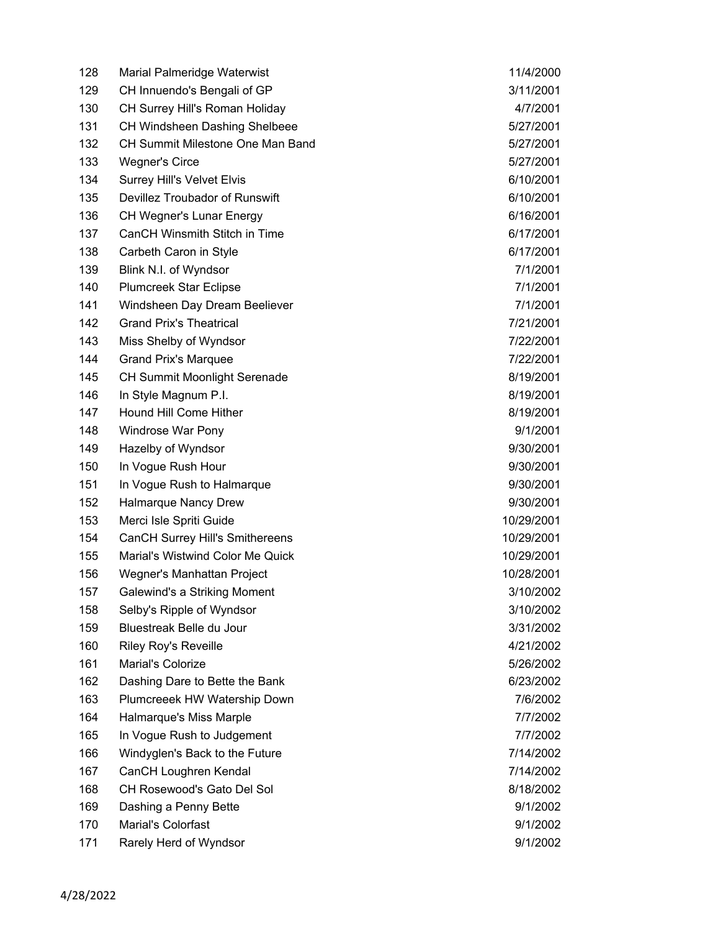| 128 | <b>Marial Palmeridge Waterwist</b>      | 11/4/2000  |
|-----|-----------------------------------------|------------|
| 129 | CH Innuendo's Bengali of GP             | 3/11/2001  |
| 130 | CH Surrey Hill's Roman Holiday          | 4/7/2001   |
| 131 | <b>CH Windsheen Dashing Shelbeee</b>    | 5/27/2001  |
| 132 | <b>CH Summit Milestone One Man Band</b> | 5/27/2001  |
| 133 | Wegner's Circe                          | 5/27/2001  |
| 134 | Surrey Hill's Velvet Elvis              | 6/10/2001  |
| 135 | Devillez Troubador of Runswift          | 6/10/2001  |
| 136 | <b>CH Wegner's Lunar Energy</b>         | 6/16/2001  |
| 137 | CanCH Winsmith Stitch in Time           | 6/17/2001  |
| 138 | Carbeth Caron in Style                  | 6/17/2001  |
| 139 | Blink N.I. of Wyndsor                   | 7/1/2001   |
| 140 | <b>Plumcreek Star Eclipse</b>           | 7/1/2001   |
| 141 | Windsheen Day Dream Beeliever           | 7/1/2001   |
| 142 | <b>Grand Prix's Theatrical</b>          | 7/21/2001  |
| 143 | Miss Shelby of Wyndsor                  | 7/22/2001  |
| 144 | <b>Grand Prix's Marquee</b>             | 7/22/2001  |
| 145 | <b>CH Summit Moonlight Serenade</b>     | 8/19/2001  |
| 146 | In Style Magnum P.I.                    | 8/19/2001  |
| 147 | Hound Hill Come Hither                  | 8/19/2001  |
| 148 | Windrose War Pony                       | 9/1/2001   |
| 149 | Hazelby of Wyndsor                      | 9/30/2001  |
| 150 | In Vogue Rush Hour                      | 9/30/2001  |
| 151 | In Vogue Rush to Halmarque              | 9/30/2001  |
| 152 | Halmarque Nancy Drew                    | 9/30/2001  |
| 153 | Merci Isle Spriti Guide                 | 10/29/2001 |
| 154 | <b>CanCH Surrey Hill's Smithereens</b>  | 10/29/2001 |
| 155 | Marial's Wistwind Color Me Quick        | 10/29/2001 |
| 156 | Wegner's Manhattan Project              | 10/28/2001 |
| 157 | Galewind's a Striking Moment            | 3/10/2002  |
| 158 | Selby's Ripple of Wyndsor               | 3/10/2002  |
| 159 | Bluestreak Belle du Jour                | 3/31/2002  |
| 160 | <b>Riley Roy's Reveille</b>             | 4/21/2002  |
| 161 | Marial's Colorize                       | 5/26/2002  |
| 162 | Dashing Dare to Bette the Bank          | 6/23/2002  |
| 163 | Plumcreeek HW Watership Down            | 7/6/2002   |
| 164 | Halmarque's Miss Marple                 | 7/7/2002   |
| 165 | In Vogue Rush to Judgement              | 7/7/2002   |
| 166 | Windyglen's Back to the Future          | 7/14/2002  |
| 167 | CanCH Loughren Kendal                   | 7/14/2002  |
| 168 | CH Rosewood's Gato Del Sol              | 8/18/2002  |
| 169 | Dashing a Penny Bette                   | 9/1/2002   |
| 170 | Marial's Colorfast                      | 9/1/2002   |
| 171 | Rarely Herd of Wyndsor                  | 9/1/2002   |
|     |                                         |            |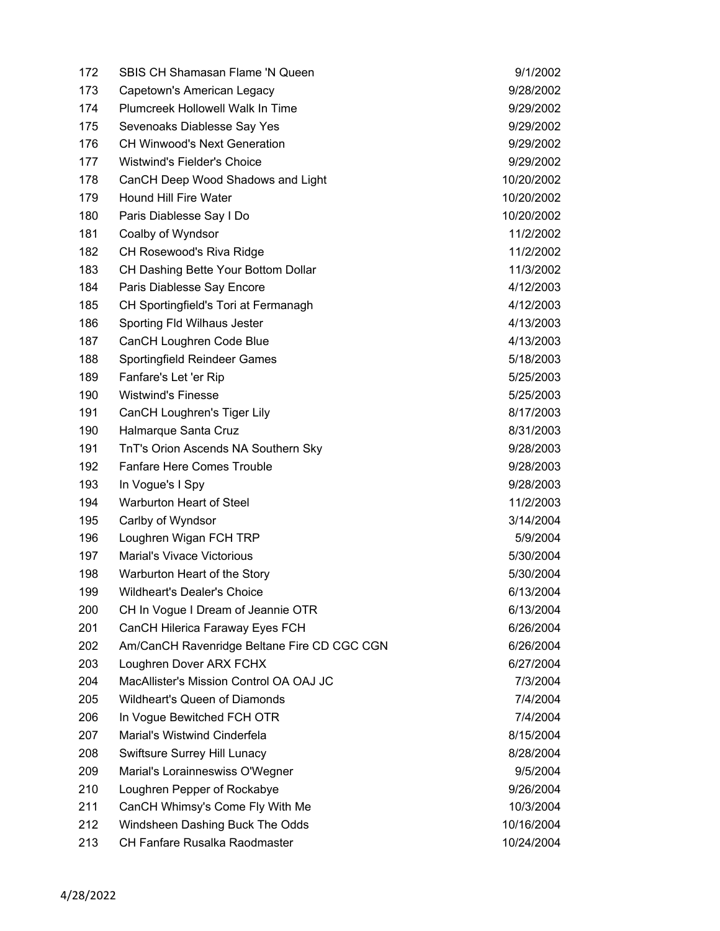| 172 | <b>SBIS CH Shamasan Flame 'N Queen</b>      | 9/1/2002   |
|-----|---------------------------------------------|------------|
| 173 | Capetown's American Legacy                  | 9/28/2002  |
| 174 | <b>Plumcreek Hollowell Walk In Time</b>     | 9/29/2002  |
| 175 | Sevenoaks Diablesse Say Yes                 | 9/29/2002  |
| 176 | <b>CH Winwood's Next Generation</b>         | 9/29/2002  |
| 177 | <b>Wistwind's Fielder's Choice</b>          | 9/29/2002  |
| 178 | CanCH Deep Wood Shadows and Light           | 10/20/2002 |
| 179 | <b>Hound Hill Fire Water</b>                | 10/20/2002 |
| 180 | Paris Diablesse Say I Do                    | 10/20/2002 |
| 181 | Coalby of Wyndsor                           | 11/2/2002  |
| 182 | CH Rosewood's Riva Ridge                    | 11/2/2002  |
| 183 | CH Dashing Bette Your Bottom Dollar         | 11/3/2002  |
| 184 | Paris Diablesse Say Encore                  | 4/12/2003  |
| 185 | CH Sportingfield's Tori at Fermanagh        | 4/12/2003  |
| 186 | Sporting Fld Wilhaus Jester                 | 4/13/2003  |
| 187 | CanCH Loughren Code Blue                    | 4/13/2003  |
| 188 | Sportingfield Reindeer Games                | 5/18/2003  |
| 189 | Fanfare's Let 'er Rip                       | 5/25/2003  |
| 190 | <b>Wistwind's Finesse</b>                   | 5/25/2003  |
| 191 | CanCH Loughren's Tiger Lily                 | 8/17/2003  |
| 190 | Halmarque Santa Cruz                        | 8/31/2003  |
| 191 | TnT's Orion Ascends NA Southern Sky         | 9/28/2003  |
| 192 | <b>Fanfare Here Comes Trouble</b>           | 9/28/2003  |
| 193 | In Vogue's I Spy                            | 9/28/2003  |
| 194 | Warburton Heart of Steel                    | 11/2/2003  |
| 195 | Carlby of Wyndsor                           | 3/14/2004  |
| 196 | Loughren Wigan FCH TRP                      | 5/9/2004   |
| 197 | <b>Marial's Vivace Victorious</b>           | 5/30/2004  |
| 198 | Warburton Heart of the Story                | 5/30/2004  |
| 199 | Wildheart's Dealer's Choice                 | 6/13/2004  |
| 200 | CH In Vogue I Dream of Jeannie OTR          | 6/13/2004  |
| 201 | CanCH Hilerica Faraway Eyes FCH             | 6/26/2004  |
| 202 | Am/CanCH Ravenridge Beltane Fire CD CGC CGN | 6/26/2004  |
| 203 | Loughren Dover ARX FCHX                     | 6/27/2004  |
| 204 | MacAllister's Mission Control OA OAJ JC     | 7/3/2004   |
| 205 | Wildheart's Queen of Diamonds               | 7/4/2004   |
| 206 | In Vogue Bewitched FCH OTR                  | 7/4/2004   |
| 207 | Marial's Wistwind Cinderfela                | 8/15/2004  |
| 208 | Swiftsure Surrey Hill Lunacy                | 8/28/2004  |
| 209 | Marial's Lorainneswiss O'Wegner             | 9/5/2004   |
| 210 | Loughren Pepper of Rockabye                 | 9/26/2004  |
| 211 | CanCH Whimsy's Come Fly With Me             | 10/3/2004  |
| 212 | Windsheen Dashing Buck The Odds             | 10/16/2004 |
| 213 | CH Fanfare Rusalka Raodmaster               | 10/24/2004 |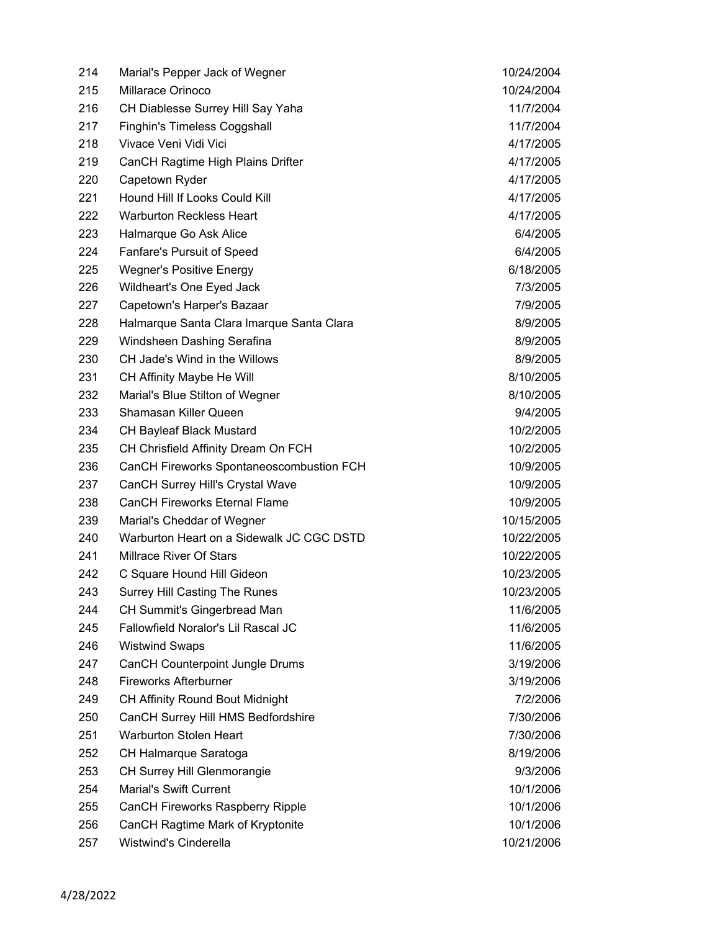| 214 | Marial's Pepper Jack of Wegner            | 10/24/2004 |
|-----|-------------------------------------------|------------|
| 215 | Millarace Orinoco                         | 10/24/2004 |
| 216 | CH Diablesse Surrey Hill Say Yaha         | 11/7/2004  |
| 217 | <b>Finghin's Timeless Coggshall</b>       | 11/7/2004  |
| 218 | Vivace Veni Vidi Vici                     | 4/17/2005  |
| 219 | CanCH Ragtime High Plains Drifter         | 4/17/2005  |
| 220 | Capetown Ryder                            | 4/17/2005  |
| 221 | Hound Hill If Looks Could Kill            | 4/17/2005  |
| 222 | <b>Warburton Reckless Heart</b>           | 4/17/2005  |
| 223 | Halmarque Go Ask Alice                    | 6/4/2005   |
| 224 | Fanfare's Pursuit of Speed                | 6/4/2005   |
| 225 | <b>Wegner's Positive Energy</b>           | 6/18/2005  |
| 226 | Wildheart's One Eyed Jack                 | 7/3/2005   |
| 227 | Capetown's Harper's Bazaar                | 7/9/2005   |
| 228 | Halmarque Santa Clara Imarque Santa Clara | 8/9/2005   |
| 229 | Windsheen Dashing Serafina                | 8/9/2005   |
| 230 | CH Jade's Wind in the Willows             | 8/9/2005   |
| 231 | CH Affinity Maybe He Will                 | 8/10/2005  |
| 232 | Marial's Blue Stilton of Wegner           | 8/10/2005  |
| 233 | Shamasan Killer Queen                     | 9/4/2005   |
| 234 | <b>CH Bayleaf Black Mustard</b>           | 10/2/2005  |
| 235 | CH Chrisfield Affinity Dream On FCH       | 10/2/2005  |
| 236 | CanCH Fireworks Spontaneoscombustion FCH  | 10/9/2005  |
| 237 | <b>CanCH Surrey Hill's Crystal Wave</b>   | 10/9/2005  |
| 238 | <b>CanCH Fireworks Eternal Flame</b>      | 10/9/2005  |
| 239 | Marial's Cheddar of Wegner                | 10/15/2005 |
| 240 | Warburton Heart on a Sidewalk JC CGC DSTD | 10/22/2005 |
| 241 | <b>Millrace River Of Stars</b>            | 10/22/2005 |
| 242 | C Square Hound Hill Gideon                | 10/23/2005 |
| 243 | <b>Surrey Hill Casting The Runes</b>      | 10/23/2005 |
| 244 | CH Summit's Gingerbread Man               | 11/6/2005  |
| 245 | Fallowfield Noralor's Lil Rascal JC       | 11/6/2005  |
| 246 | <b>Wistwind Swaps</b>                     | 11/6/2005  |
| 247 | CanCH Counterpoint Jungle Drums           | 3/19/2006  |
| 248 | <b>Fireworks Afterburner</b>              | 3/19/2006  |
| 249 | <b>CH Affinity Round Bout Midnight</b>    | 7/2/2006   |
| 250 | CanCH Surrey Hill HMS Bedfordshire        | 7/30/2006  |
| 251 | <b>Warburton Stolen Heart</b>             | 7/30/2006  |
| 252 | CH Halmarque Saratoga                     | 8/19/2006  |
| 253 | <b>CH Surrey Hill Glenmorangie</b>        | 9/3/2006   |
| 254 | <b>Marial's Swift Current</b>             | 10/1/2006  |
| 255 | CanCH Fireworks Raspberry Ripple          | 10/1/2006  |
| 256 | CanCH Ragtime Mark of Kryptonite          | 10/1/2006  |
| 257 | Wistwind's Cinderella                     | 10/21/2006 |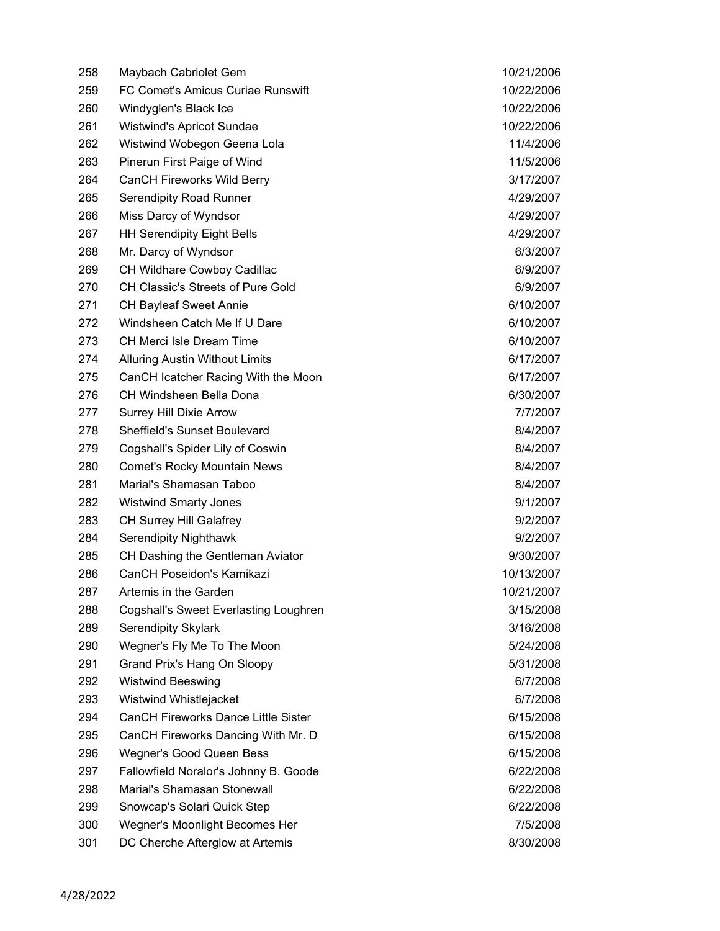| 258 | Maybach Cabriolet Gem                        | 10/21/2006 |
|-----|----------------------------------------------|------------|
| 259 | FC Comet's Amicus Curiae Runswift            | 10/22/2006 |
| 260 | Windyglen's Black Ice                        | 10/22/2006 |
| 261 | Wistwind's Apricot Sundae                    | 10/22/2006 |
| 262 | Wistwind Wobegon Geena Lola                  | 11/4/2006  |
| 263 | Pinerun First Paige of Wind                  | 11/5/2006  |
| 264 | <b>CanCH Fireworks Wild Berry</b>            | 3/17/2007  |
| 265 | <b>Serendipity Road Runner</b>               | 4/29/2007  |
| 266 | Miss Darcy of Wyndsor                        | 4/29/2007  |
| 267 | <b>HH Serendipity Eight Bells</b>            | 4/29/2007  |
| 268 | Mr. Darcy of Wyndsor                         | 6/3/2007   |
| 269 | CH Wildhare Cowboy Cadillac                  | 6/9/2007   |
| 270 | CH Classic's Streets of Pure Gold            | 6/9/2007   |
| 271 | <b>CH Bayleaf Sweet Annie</b>                | 6/10/2007  |
| 272 | Windsheen Catch Me If U Dare                 | 6/10/2007  |
| 273 | CH Merci Isle Dream Time                     | 6/10/2007  |
| 274 | <b>Alluring Austin Without Limits</b>        | 6/17/2007  |
| 275 | CanCH Icatcher Racing With the Moon          | 6/17/2007  |
| 276 | CH Windsheen Bella Dona                      | 6/30/2007  |
| 277 | <b>Surrey Hill Dixie Arrow</b>               | 7/7/2007   |
| 278 | <b>Sheffield's Sunset Boulevard</b>          | 8/4/2007   |
| 279 | Cogshall's Spider Lily of Coswin             | 8/4/2007   |
| 280 | <b>Comet's Rocky Mountain News</b>           | 8/4/2007   |
| 281 | Marial's Shamasan Taboo                      | 8/4/2007   |
| 282 | <b>Wistwind Smarty Jones</b>                 | 9/1/2007   |
| 283 | <b>CH Surrey Hill Galafrey</b>               | 9/2/2007   |
| 284 | Serendipity Nighthawk                        | 9/2/2007   |
| 285 | CH Dashing the Gentleman Aviator             | 9/30/2007  |
| 286 | CanCH Poseidon's Kamikazi                    | 10/13/2007 |
| 287 | Artemis in the Garden                        | 10/21/2007 |
| 288 | <b>Cogshall's Sweet Everlasting Loughren</b> | 3/15/2008  |
| 289 | <b>Serendipity Skylark</b>                   | 3/16/2008  |
| 290 | Wegner's Fly Me To The Moon                  | 5/24/2008  |
| 291 | Grand Prix's Hang On Sloopy                  | 5/31/2008  |
| 292 | <b>Wistwind Beeswing</b>                     | 6/7/2008   |
| 293 | Wistwind Whistlejacket                       | 6/7/2008   |
| 294 | <b>CanCH Fireworks Dance Little Sister</b>   | 6/15/2008  |
| 295 | CanCH Fireworks Dancing With Mr. D           | 6/15/2008  |
| 296 | Wegner's Good Queen Bess                     | 6/15/2008  |
| 297 | Fallowfield Noralor's Johnny B. Goode        | 6/22/2008  |
| 298 | Marial's Shamasan Stonewall                  | 6/22/2008  |
| 299 | Snowcap's Solari Quick Step                  | 6/22/2008  |
| 300 | Wegner's Moonlight Becomes Her               | 7/5/2008   |
| 301 | DC Cherche Afterglow at Artemis              | 8/30/2008  |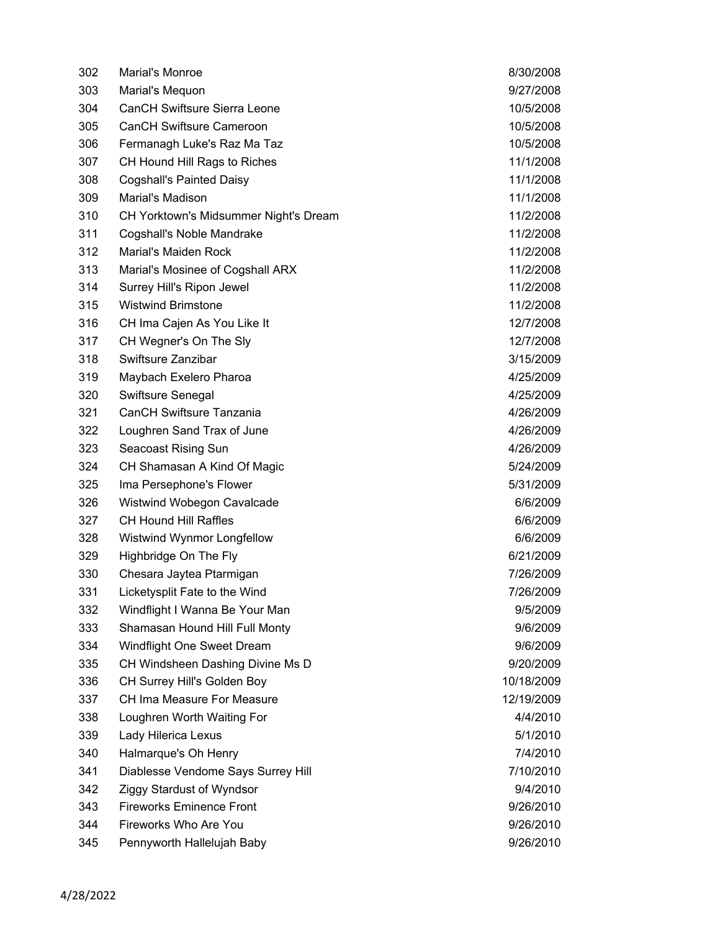| 302 | Marial's Monroe                       | 8/30/2008  |
|-----|---------------------------------------|------------|
| 303 | Marial's Mequon                       | 9/27/2008  |
| 304 | <b>CanCH Swiftsure Sierra Leone</b>   | 10/5/2008  |
| 305 | <b>CanCH Swiftsure Cameroon</b>       | 10/5/2008  |
| 306 | Fermanagh Luke's Raz Ma Taz           | 10/5/2008  |
| 307 | CH Hound Hill Rags to Riches          | 11/1/2008  |
| 308 | <b>Cogshall's Painted Daisy</b>       | 11/1/2008  |
| 309 | Marial's Madison                      | 11/1/2008  |
| 310 | CH Yorktown's Midsummer Night's Dream | 11/2/2008  |
| 311 | Cogshall's Noble Mandrake             | 11/2/2008  |
| 312 | Marial's Maiden Rock                  | 11/2/2008  |
| 313 | Marial's Mosinee of Cogshall ARX      | 11/2/2008  |
| 314 | Surrey Hill's Ripon Jewel             | 11/2/2008  |
| 315 | <b>Wistwind Brimstone</b>             | 11/2/2008  |
| 316 | CH Ima Cajen As You Like It           | 12/7/2008  |
| 317 | CH Wegner's On The Sly                | 12/7/2008  |
| 318 | Swiftsure Zanzibar                    | 3/15/2009  |
| 319 | Maybach Exelero Pharoa                | 4/25/2009  |
| 320 | Swiftsure Senegal                     | 4/25/2009  |
| 321 | <b>CanCH Swiftsure Tanzania</b>       | 4/26/2009  |
| 322 | Loughren Sand Trax of June            | 4/26/2009  |
| 323 | Seacoast Rising Sun                   | 4/26/2009  |
| 324 | CH Shamasan A Kind Of Magic           | 5/24/2009  |
| 325 | Ima Persephone's Flower               | 5/31/2009  |
| 326 | Wistwind Wobegon Cavalcade            | 6/6/2009   |
| 327 | <b>CH Hound Hill Raffles</b>          | 6/6/2009   |
| 328 | Wistwind Wynmor Longfellow            | 6/6/2009   |
| 329 | Highbridge On The Fly                 | 6/21/2009  |
| 330 | Chesara Jaytea Ptarmigan              | 7/26/2009  |
| 331 | Licketysplit Fate to the Wind         | 7/26/2009  |
| 332 | Windflight I Wanna Be Your Man        | 9/5/2009   |
| 333 | Shamasan Hound Hill Full Monty        | 9/6/2009   |
| 334 | Windflight One Sweet Dream            | 9/6/2009   |
| 335 | CH Windsheen Dashing Divine Ms D      | 9/20/2009  |
| 336 | CH Surrey Hill's Golden Boy           | 10/18/2009 |
| 337 | CH Ima Measure For Measure            | 12/19/2009 |
| 338 | Loughren Worth Waiting For            | 4/4/2010   |
| 339 | Lady Hilerica Lexus                   | 5/1/2010   |
| 340 | Halmarque's Oh Henry                  | 7/4/2010   |
| 341 | Diablesse Vendome Says Surrey Hill    | 7/10/2010  |
| 342 | <b>Ziggy Stardust of Wyndsor</b>      | 9/4/2010   |
| 343 | <b>Fireworks Eminence Front</b>       | 9/26/2010  |
| 344 | Fireworks Who Are You                 | 9/26/2010  |
| 345 | Pennyworth Hallelujah Baby            | 9/26/2010  |
|     |                                       |            |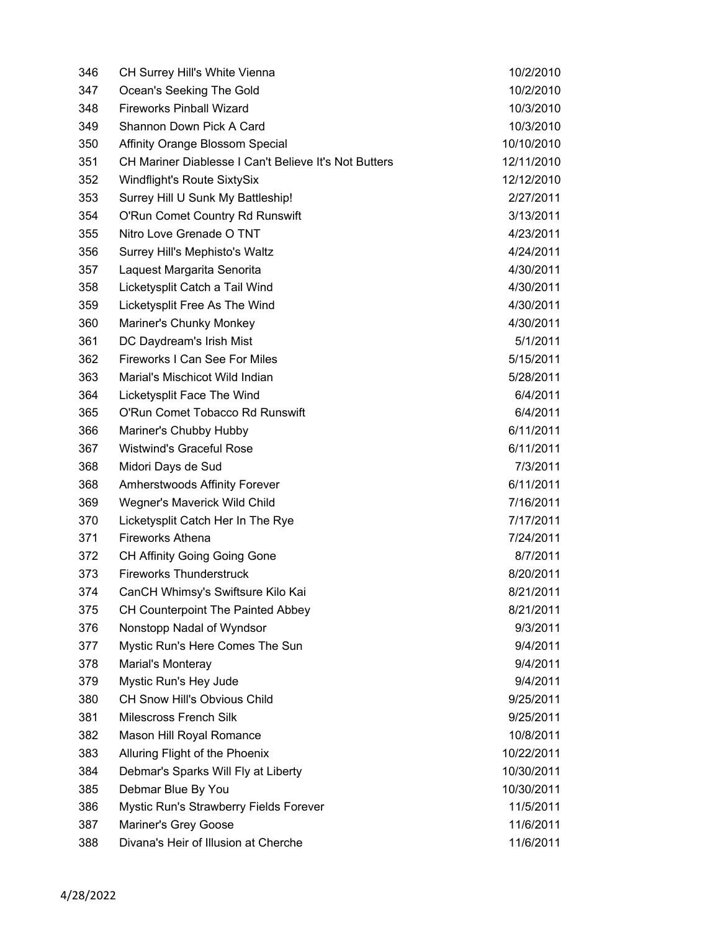| 346 | CH Surrey Hill's White Vienna                                | 10/2/2010  |
|-----|--------------------------------------------------------------|------------|
| 347 | Ocean's Seeking The Gold                                     | 10/2/2010  |
| 348 | <b>Fireworks Pinball Wizard</b>                              | 10/3/2010  |
| 349 | Shannon Down Pick A Card                                     | 10/3/2010  |
| 350 | Affinity Orange Blossom Special                              | 10/10/2010 |
| 351 | <b>CH Mariner Diablesse I Can't Believe It's Not Butters</b> | 12/11/2010 |
| 352 | Windflight's Route SixtySix                                  | 12/12/2010 |
| 353 | Surrey Hill U Sunk My Battleship!                            | 2/27/2011  |
| 354 | O'Run Comet Country Rd Runswift                              | 3/13/2011  |
| 355 | Nitro Love Grenade O TNT                                     | 4/23/2011  |
| 356 | Surrey Hill's Mephisto's Waltz                               | 4/24/2011  |
| 357 | Laquest Margarita Senorita                                   | 4/30/2011  |
| 358 | Licketysplit Catch a Tail Wind                               | 4/30/2011  |
| 359 | Licketysplit Free As The Wind                                | 4/30/2011  |
| 360 | Mariner's Chunky Monkey                                      | 4/30/2011  |
| 361 | DC Daydream's Irish Mist                                     | 5/1/2011   |
| 362 | Fireworks I Can See For Miles                                | 5/15/2011  |
| 363 | Marial's Mischicot Wild Indian                               | 5/28/2011  |
| 364 | Licketysplit Face The Wind                                   | 6/4/2011   |
| 365 | O'Run Comet Tobacco Rd Runswift                              | 6/4/2011   |
| 366 | Mariner's Chubby Hubby                                       | 6/11/2011  |
| 367 | <b>Wistwind's Graceful Rose</b>                              | 6/11/2011  |
| 368 | Midori Days de Sud                                           | 7/3/2011   |
| 368 | Amherstwoods Affinity Forever                                | 6/11/2011  |
| 369 | Wegner's Maverick Wild Child                                 | 7/16/2011  |
| 370 | Licketysplit Catch Her In The Rye                            | 7/17/2011  |
| 371 | <b>Fireworks Athena</b>                                      | 7/24/2011  |
| 372 | <b>CH Affinity Going Going Gone</b>                          | 8/7/2011   |
| 373 | <b>Fireworks Thunderstruck</b>                               | 8/20/2011  |
| 374 | CanCH Whimsy's Swiftsure Kilo Kai                            | 8/21/2011  |
| 375 | CH Counterpoint The Painted Abbey                            | 8/21/2011  |
| 376 | Nonstopp Nadal of Wyndsor                                    | 9/3/2011   |
| 377 | Mystic Run's Here Comes The Sun                              | 9/4/2011   |
| 378 | Marial's Monteray                                            | 9/4/2011   |
| 379 | Mystic Run's Hey Jude                                        | 9/4/2011   |
| 380 | CH Snow Hill's Obvious Child                                 | 9/25/2011  |
| 381 | Milescross French Silk                                       | 9/25/2011  |
| 382 | Mason Hill Royal Romance                                     | 10/8/2011  |
| 383 | Alluring Flight of the Phoenix                               | 10/22/2011 |
| 384 | Debmar's Sparks Will Fly at Liberty                          | 10/30/2011 |
| 385 | Debmar Blue By You                                           | 10/30/2011 |
| 386 | Mystic Run's Strawberry Fields Forever                       | 11/5/2011  |
| 387 | Mariner's Grey Goose                                         | 11/6/2011  |
| 388 | Divana's Heir of Illusion at Cherche                         | 11/6/2011  |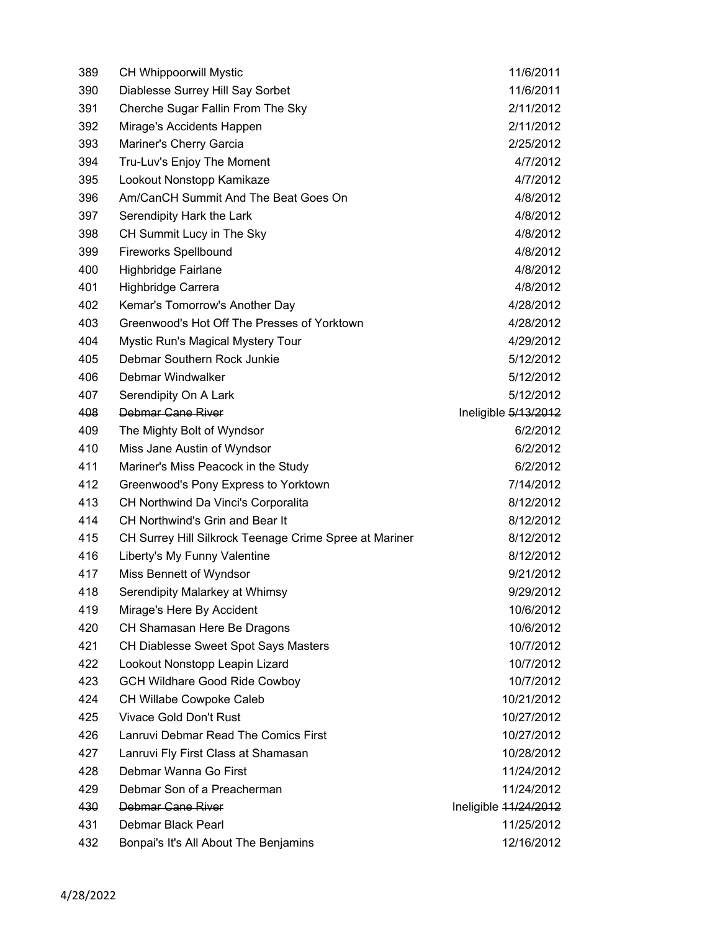| 389 | <b>CH Whippoorwill Mystic</b>                          | 11/6/2011             |
|-----|--------------------------------------------------------|-----------------------|
| 390 | Diablesse Surrey Hill Say Sorbet                       | 11/6/2011             |
| 391 | Cherche Sugar Fallin From The Sky                      | 2/11/2012             |
| 392 | Mirage's Accidents Happen                              | 2/11/2012             |
| 393 | Mariner's Cherry Garcia                                | 2/25/2012             |
| 394 | Tru-Luv's Enjoy The Moment                             | 4/7/2012              |
| 395 | Lookout Nonstopp Kamikaze                              | 4/7/2012              |
| 396 | Am/CanCH Summit And The Beat Goes On                   | 4/8/2012              |
| 397 | Serendipity Hark the Lark                              | 4/8/2012              |
| 398 | CH Summit Lucy in The Sky                              | 4/8/2012              |
| 399 | <b>Fireworks Spellbound</b>                            | 4/8/2012              |
| 400 | Highbridge Fairlane                                    | 4/8/2012              |
| 401 | Highbridge Carrera                                     | 4/8/2012              |
| 402 | Kemar's Tomorrow's Another Day                         | 4/28/2012             |
| 403 | Greenwood's Hot Off The Presses of Yorktown            | 4/28/2012             |
| 404 | <b>Mystic Run's Magical Mystery Tour</b>               | 4/29/2012             |
| 405 | Debmar Southern Rock Junkie                            | 5/12/2012             |
| 406 | Debmar Windwalker                                      | 5/12/2012             |
| 407 | Serendipity On A Lark                                  | 5/12/2012             |
| 408 | Debmar Cane River                                      | Ineligible 5/13/2012  |
| 409 | The Mighty Bolt of Wyndsor                             | 6/2/2012              |
| 410 | Miss Jane Austin of Wyndsor                            | 6/2/2012              |
| 411 | Mariner's Miss Peacock in the Study                    | 6/2/2012              |
| 412 | Greenwood's Pony Express to Yorktown                   | 7/14/2012             |
| 413 | CH Northwind Da Vinci's Corporalita                    | 8/12/2012             |
| 414 | CH Northwind's Grin and Bear It                        | 8/12/2012             |
| 415 | CH Surrey Hill Silkrock Teenage Crime Spree at Mariner | 8/12/2012             |
| 416 | Liberty's My Funny Valentine                           | 8/12/2012             |
| 417 | Miss Bennett of Wyndsor                                | 9/21/2012             |
| 418 | Serendipity Malarkey at Whimsy                         | 9/29/2012             |
| 419 | Mirage's Here By Accident                              | 10/6/2012             |
| 420 | CH Shamasan Here Be Dragons                            | 10/6/2012             |
| 421 | CH Diablesse Sweet Spot Says Masters                   | 10/7/2012             |
| 422 | Lookout Nonstopp Leapin Lizard                         | 10/7/2012             |
| 423 | <b>GCH Wildhare Good Ride Cowboy</b>                   | 10/7/2012             |
| 424 | CH Willabe Cowpoke Caleb                               | 10/21/2012            |
| 425 | <b>Vivace Gold Don't Rust</b>                          | 10/27/2012            |
| 426 | Lanruvi Debmar Read The Comics First                   | 10/27/2012            |
| 427 | Lanruvi Fly First Class at Shamasan                    | 10/28/2012            |
| 428 | Debmar Wanna Go First                                  | 11/24/2012            |
| 429 | Debmar Son of a Preacherman                            | 11/24/2012            |
| 430 | Debmar Cane River                                      | Ineligible 11/24/2012 |
| 431 | Debmar Black Pearl                                     | 11/25/2012            |
| 432 | Bonpai's It's All About The Benjamins                  | 12/16/2012            |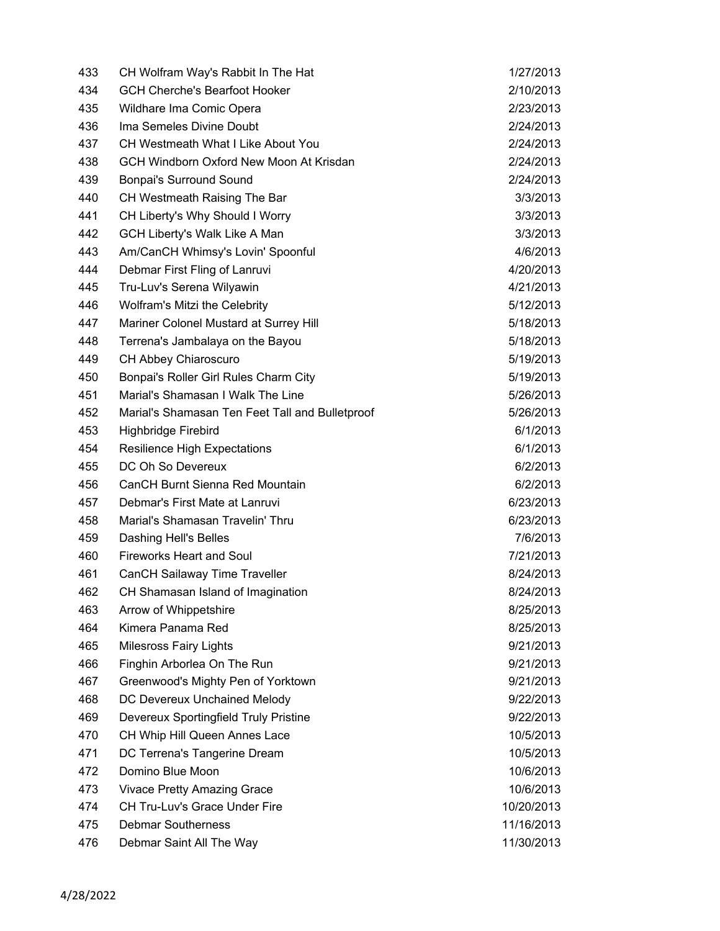| 433 | CH Wolfram Way's Rabbit In The Hat              | 1/27/2013  |
|-----|-------------------------------------------------|------------|
| 434 | <b>GCH Cherche's Bearfoot Hooker</b>            | 2/10/2013  |
| 435 | Wildhare Ima Comic Opera                        | 2/23/2013  |
| 436 | Ima Semeles Divine Doubt                        | 2/24/2013  |
| 437 | CH Westmeath What I Like About You              | 2/24/2013  |
| 438 | GCH Windborn Oxford New Moon At Krisdan         | 2/24/2013  |
| 439 | <b>Bonpai's Surround Sound</b>                  | 2/24/2013  |
| 440 | CH Westmeath Raising The Bar                    | 3/3/2013   |
| 441 | CH Liberty's Why Should I Worry                 | 3/3/2013   |
| 442 | <b>GCH Liberty's Walk Like A Man</b>            | 3/3/2013   |
| 443 | Am/CanCH Whimsy's Lovin' Spoonful               | 4/6/2013   |
| 444 | Debmar First Fling of Lanruvi                   | 4/20/2013  |
| 445 | Tru-Luv's Serena Wilyawin                       | 4/21/2013  |
| 446 | Wolfram's Mitzi the Celebrity                   | 5/12/2013  |
| 447 | Mariner Colonel Mustard at Surrey Hill          | 5/18/2013  |
| 448 | Terrena's Jambalaya on the Bayou                | 5/18/2013  |
| 449 | CH Abbey Chiaroscuro                            | 5/19/2013  |
| 450 | Bonpai's Roller Girl Rules Charm City           | 5/19/2013  |
| 451 | Marial's Shamasan I Walk The Line               | 5/26/2013  |
| 452 | Marial's Shamasan Ten Feet Tall and Bulletproof | 5/26/2013  |
| 453 | Highbridge Firebird                             | 6/1/2013   |
| 454 | <b>Resilience High Expectations</b>             | 6/1/2013   |
| 455 | DC Oh So Devereux                               | 6/2/2013   |
| 456 | CanCH Burnt Sienna Red Mountain                 | 6/2/2013   |
| 457 | Debmar's First Mate at Lanruvi                  | 6/23/2013  |
| 458 | Marial's Shamasan Travelin' Thru                | 6/23/2013  |
| 459 | Dashing Hell's Belles                           | 7/6/2013   |
| 460 | <b>Fireworks Heart and Soul</b>                 | 7/21/2013  |
| 461 | <b>CanCH Sailaway Time Traveller</b>            | 8/24/2013  |
| 462 | CH Shamasan Island of Imagination               | 8/24/2013  |
| 463 | Arrow of Whippetshire                           | 8/25/2013  |
| 464 | Kimera Panama Red                               | 8/25/2013  |
| 465 | <b>Milesross Fairy Lights</b>                   | 9/21/2013  |
| 466 | Finghin Arborlea On The Run                     | 9/21/2013  |
| 467 | Greenwood's Mighty Pen of Yorktown              | 9/21/2013  |
| 468 | DC Devereux Unchained Melody                    | 9/22/2013  |
| 469 | Devereux Sportingfield Truly Pristine           | 9/22/2013  |
| 470 | CH Whip Hill Queen Annes Lace                   | 10/5/2013  |
| 471 | DC Terrena's Tangerine Dream                    | 10/5/2013  |
| 472 | Domino Blue Moon                                | 10/6/2013  |
| 473 | <b>Vivace Pretty Amazing Grace</b>              | 10/6/2013  |
| 474 | CH Tru-Luv's Grace Under Fire                   | 10/20/2013 |
| 475 | <b>Debmar Southerness</b>                       | 11/16/2013 |
| 476 | Debmar Saint All The Way                        | 11/30/2013 |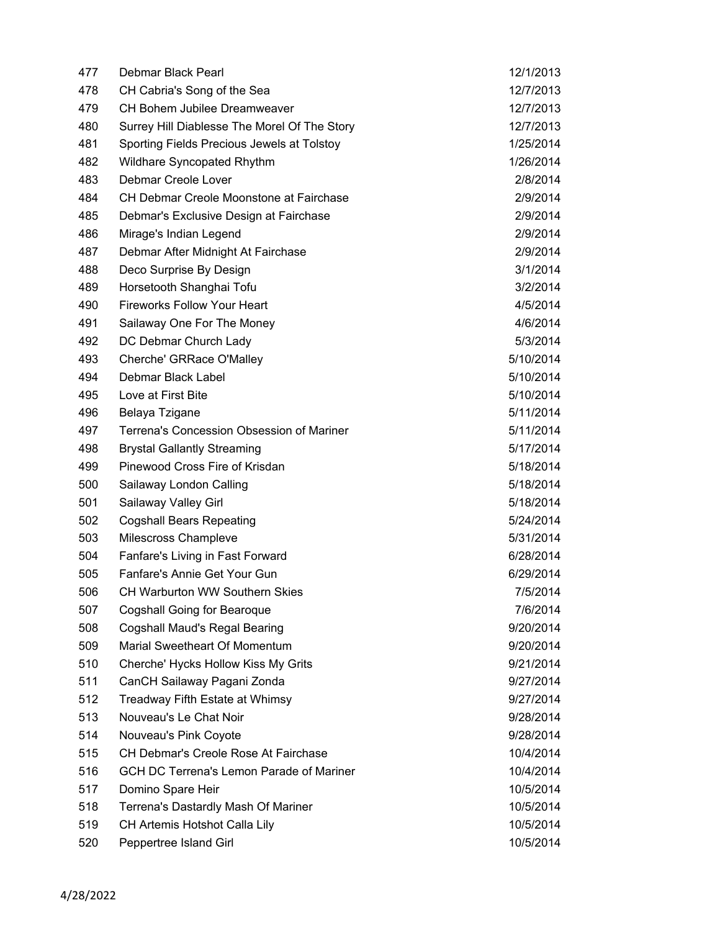| 477 | Debmar Black Pearl                              | 12/1/2013 |
|-----|-------------------------------------------------|-----------|
| 478 | CH Cabria's Song of the Sea                     | 12/7/2013 |
| 479 | CH Bohem Jubilee Dreamweaver                    | 12/7/2013 |
| 480 | Surrey Hill Diablesse The Morel Of The Story    | 12/7/2013 |
| 481 | Sporting Fields Precious Jewels at Tolstoy      | 1/25/2014 |
| 482 | Wildhare Syncopated Rhythm                      | 1/26/2014 |
| 483 | Debmar Creole Lover                             | 2/8/2014  |
| 484 | CH Debmar Creole Moonstone at Fairchase         | 2/9/2014  |
| 485 | Debmar's Exclusive Design at Fairchase          | 2/9/2014  |
| 486 | Mirage's Indian Legend                          | 2/9/2014  |
| 487 | Debmar After Midnight At Fairchase              | 2/9/2014  |
| 488 | Deco Surprise By Design                         | 3/1/2014  |
| 489 | Horsetooth Shanghai Tofu                        | 3/2/2014  |
| 490 | <b>Fireworks Follow Your Heart</b>              | 4/5/2014  |
| 491 | Sailaway One For The Money                      | 4/6/2014  |
| 492 | DC Debmar Church Lady                           | 5/3/2014  |
| 493 | Cherche' GRRace O'Malley                        | 5/10/2014 |
| 494 | Debmar Black Label                              | 5/10/2014 |
| 495 | Love at First Bite                              | 5/10/2014 |
| 496 | Belaya Tzigane                                  | 5/11/2014 |
| 497 | Terrena's Concession Obsession of Mariner       | 5/11/2014 |
| 498 | <b>Brystal Gallantly Streaming</b>              | 5/17/2014 |
| 499 | Pinewood Cross Fire of Krisdan                  | 5/18/2014 |
| 500 | Sailaway London Calling                         | 5/18/2014 |
| 501 | Sailaway Valley Girl                            | 5/18/2014 |
| 502 | <b>Cogshall Bears Repeating</b>                 | 5/24/2014 |
| 503 | Milescross Champleve                            | 5/31/2014 |
| 504 | Fanfare's Living in Fast Forward                | 6/28/2014 |
| 505 | Fanfare's Annie Get Your Gun                    | 6/29/2014 |
| 506 | <b>CH Warburton WW Southern Skies</b>           | 7/5/2014  |
| 507 | Cogshall Going for Bearoque                     | 7/6/2014  |
| 508 | <b>Cogshall Maud's Regal Bearing</b>            | 9/20/2014 |
| 509 | Marial Sweetheart Of Momentum                   | 9/20/2014 |
| 510 | Cherche' Hycks Hollow Kiss My Grits             | 9/21/2014 |
| 511 | CanCH Sailaway Pagani Zonda                     | 9/27/2014 |
| 512 | Treadway Fifth Estate at Whimsy                 | 9/27/2014 |
| 513 | Nouveau's Le Chat Noir                          | 9/28/2014 |
| 514 | Nouveau's Pink Coyote                           | 9/28/2014 |
| 515 | CH Debmar's Creole Rose At Fairchase            | 10/4/2014 |
| 516 | <b>GCH DC Terrena's Lemon Parade of Mariner</b> | 10/4/2014 |
| 517 | Domino Spare Heir                               | 10/5/2014 |
| 518 | Terrena's Dastardly Mash Of Mariner             | 10/5/2014 |
| 519 | CH Artemis Hotshot Calla Lily                   | 10/5/2014 |
| 520 | Peppertree Island Girl                          | 10/5/2014 |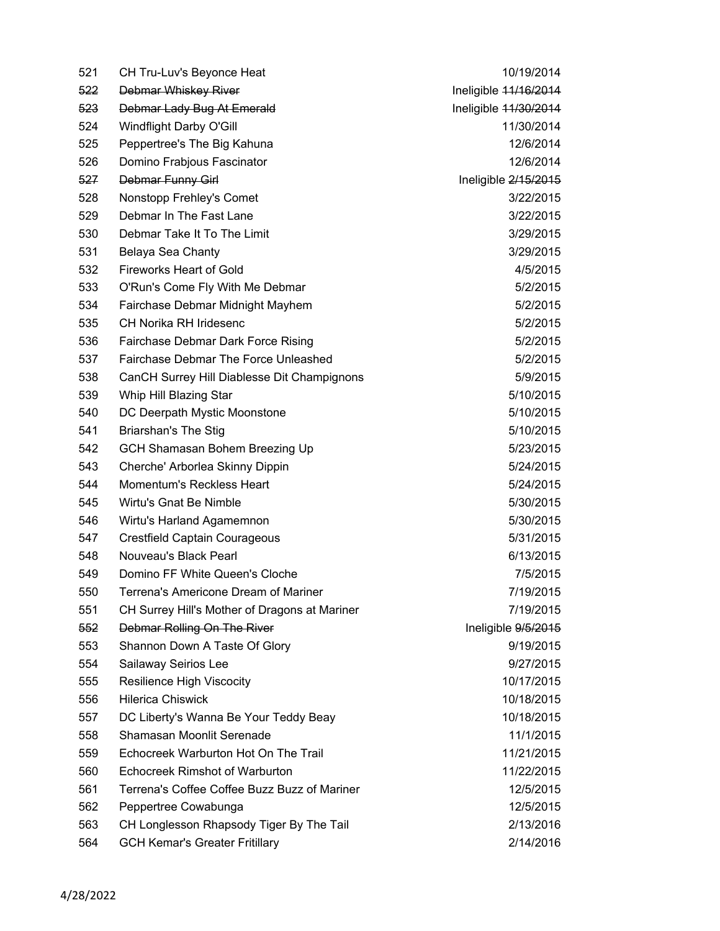| 522<br><b>Debmar Whiskey River</b><br>Ineligible 44/16/2014<br>Ineligible 11/30/2014<br>523<br>Debmar Lady Bug At Emerald<br>524<br>Windflight Darby O'Gill<br>11/30/2014<br>Peppertree's The Big Kahuna<br>12/6/2014<br>525<br>526<br>Domino Frabjous Fascinator<br>12/6/2014<br>527<br>Debmar Funny Girl<br>Ineligible 2/15/2015<br>528<br>Nonstopp Frehley's Comet<br>3/22/2015<br>Debmar In The Fast Lane<br>529<br>3/22/2015<br>Debmar Take It To The Limit<br>530<br>3/29/2015<br>531<br>3/29/2015<br>Belaya Sea Chanty<br><b>Fireworks Heart of Gold</b><br>4/5/2015<br>532<br>533<br>O'Run's Come Fly With Me Debmar<br>5/2/2015<br>534<br>5/2/2015<br>Fairchase Debmar Midnight Mayhem<br><b>CH Norika RH Iridesenc</b><br>535<br>5/2/2015 |  |
|-----------------------------------------------------------------------------------------------------------------------------------------------------------------------------------------------------------------------------------------------------------------------------------------------------------------------------------------------------------------------------------------------------------------------------------------------------------------------------------------------------------------------------------------------------------------------------------------------------------------------------------------------------------------------------------------------------------------------------------------------------|--|
|                                                                                                                                                                                                                                                                                                                                                                                                                                                                                                                                                                                                                                                                                                                                                     |  |
|                                                                                                                                                                                                                                                                                                                                                                                                                                                                                                                                                                                                                                                                                                                                                     |  |
|                                                                                                                                                                                                                                                                                                                                                                                                                                                                                                                                                                                                                                                                                                                                                     |  |
|                                                                                                                                                                                                                                                                                                                                                                                                                                                                                                                                                                                                                                                                                                                                                     |  |
|                                                                                                                                                                                                                                                                                                                                                                                                                                                                                                                                                                                                                                                                                                                                                     |  |
|                                                                                                                                                                                                                                                                                                                                                                                                                                                                                                                                                                                                                                                                                                                                                     |  |
|                                                                                                                                                                                                                                                                                                                                                                                                                                                                                                                                                                                                                                                                                                                                                     |  |
|                                                                                                                                                                                                                                                                                                                                                                                                                                                                                                                                                                                                                                                                                                                                                     |  |
|                                                                                                                                                                                                                                                                                                                                                                                                                                                                                                                                                                                                                                                                                                                                                     |  |
|                                                                                                                                                                                                                                                                                                                                                                                                                                                                                                                                                                                                                                                                                                                                                     |  |
|                                                                                                                                                                                                                                                                                                                                                                                                                                                                                                                                                                                                                                                                                                                                                     |  |
|                                                                                                                                                                                                                                                                                                                                                                                                                                                                                                                                                                                                                                                                                                                                                     |  |
|                                                                                                                                                                                                                                                                                                                                                                                                                                                                                                                                                                                                                                                                                                                                                     |  |
|                                                                                                                                                                                                                                                                                                                                                                                                                                                                                                                                                                                                                                                                                                                                                     |  |
| 536<br>Fairchase Debmar Dark Force Rising<br>5/2/2015                                                                                                                                                                                                                                                                                                                                                                                                                                                                                                                                                                                                                                                                                               |  |
| Fairchase Debmar The Force Unleashed<br>537<br>5/2/2015                                                                                                                                                                                                                                                                                                                                                                                                                                                                                                                                                                                                                                                                                             |  |
| 538<br>CanCH Surrey Hill Diablesse Dit Champignons<br>5/9/2015                                                                                                                                                                                                                                                                                                                                                                                                                                                                                                                                                                                                                                                                                      |  |
| 539<br>5/10/2015<br>Whip Hill Blazing Star                                                                                                                                                                                                                                                                                                                                                                                                                                                                                                                                                                                                                                                                                                          |  |
| 540<br>DC Deerpath Mystic Moonstone<br>5/10/2015                                                                                                                                                                                                                                                                                                                                                                                                                                                                                                                                                                                                                                                                                                    |  |
| 541<br><b>Briarshan's The Stig</b><br>5/10/2015                                                                                                                                                                                                                                                                                                                                                                                                                                                                                                                                                                                                                                                                                                     |  |
| 542<br>GCH Shamasan Bohem Breezing Up<br>5/23/2015                                                                                                                                                                                                                                                                                                                                                                                                                                                                                                                                                                                                                                                                                                  |  |
| 543<br>Cherche' Arborlea Skinny Dippin<br>5/24/2015                                                                                                                                                                                                                                                                                                                                                                                                                                                                                                                                                                                                                                                                                                 |  |
| Momentum's Reckless Heart<br>544<br>5/24/2015                                                                                                                                                                                                                                                                                                                                                                                                                                                                                                                                                                                                                                                                                                       |  |
| Wirtu's Gnat Be Nimble<br>5/30/2015<br>545                                                                                                                                                                                                                                                                                                                                                                                                                                                                                                                                                                                                                                                                                                          |  |
| 546<br>5/30/2015<br>Wirtu's Harland Agamemnon                                                                                                                                                                                                                                                                                                                                                                                                                                                                                                                                                                                                                                                                                                       |  |
| 547<br><b>Crestfield Captain Courageous</b><br>5/31/2015                                                                                                                                                                                                                                                                                                                                                                                                                                                                                                                                                                                                                                                                                            |  |
| Nouveau's Black Pearl<br>548<br>6/13/2015                                                                                                                                                                                                                                                                                                                                                                                                                                                                                                                                                                                                                                                                                                           |  |
| 549<br>Domino FF White Queen's Cloche<br>7/5/2015                                                                                                                                                                                                                                                                                                                                                                                                                                                                                                                                                                                                                                                                                                   |  |
| 550<br>Terrena's Americone Dream of Mariner<br>7/19/2015                                                                                                                                                                                                                                                                                                                                                                                                                                                                                                                                                                                                                                                                                            |  |
| 551<br>CH Surrey Hill's Mother of Dragons at Mariner<br>7/19/2015                                                                                                                                                                                                                                                                                                                                                                                                                                                                                                                                                                                                                                                                                   |  |
| Debmar Rolling On The River<br>552<br>Ineligible 9/5/2015                                                                                                                                                                                                                                                                                                                                                                                                                                                                                                                                                                                                                                                                                           |  |
| Shannon Down A Taste Of Glory<br>9/19/2015<br>553                                                                                                                                                                                                                                                                                                                                                                                                                                                                                                                                                                                                                                                                                                   |  |
| 554<br>Sailaway Seirios Lee<br>9/27/2015                                                                                                                                                                                                                                                                                                                                                                                                                                                                                                                                                                                                                                                                                                            |  |
| 10/17/2015<br>555<br>Resilience High Viscocity                                                                                                                                                                                                                                                                                                                                                                                                                                                                                                                                                                                                                                                                                                      |  |
| <b>Hilerica Chiswick</b><br>10/18/2015<br>556                                                                                                                                                                                                                                                                                                                                                                                                                                                                                                                                                                                                                                                                                                       |  |
| DC Liberty's Wanna Be Your Teddy Beay<br>10/18/2015<br>557                                                                                                                                                                                                                                                                                                                                                                                                                                                                                                                                                                                                                                                                                          |  |
| Shamasan Moonlit Serenade<br>11/1/2015<br>558                                                                                                                                                                                                                                                                                                                                                                                                                                                                                                                                                                                                                                                                                                       |  |
| Echocreek Warburton Hot On The Trail<br>559<br>11/21/2015                                                                                                                                                                                                                                                                                                                                                                                                                                                                                                                                                                                                                                                                                           |  |
| Echocreek Rimshot of Warburton<br>11/22/2015<br>560                                                                                                                                                                                                                                                                                                                                                                                                                                                                                                                                                                                                                                                                                                 |  |
| Terrena's Coffee Coffee Buzz Buzz of Mariner<br>561<br>12/5/2015                                                                                                                                                                                                                                                                                                                                                                                                                                                                                                                                                                                                                                                                                    |  |
| 562<br>Peppertree Cowabunga<br>12/5/2015                                                                                                                                                                                                                                                                                                                                                                                                                                                                                                                                                                                                                                                                                                            |  |
| CH Longlesson Rhapsody Tiger By The Tail<br>563<br>2/13/2016                                                                                                                                                                                                                                                                                                                                                                                                                                                                                                                                                                                                                                                                                        |  |
| <b>GCH Kemar's Greater Fritillary</b><br>2/14/2016<br>564                                                                                                                                                                                                                                                                                                                                                                                                                                                                                                                                                                                                                                                                                           |  |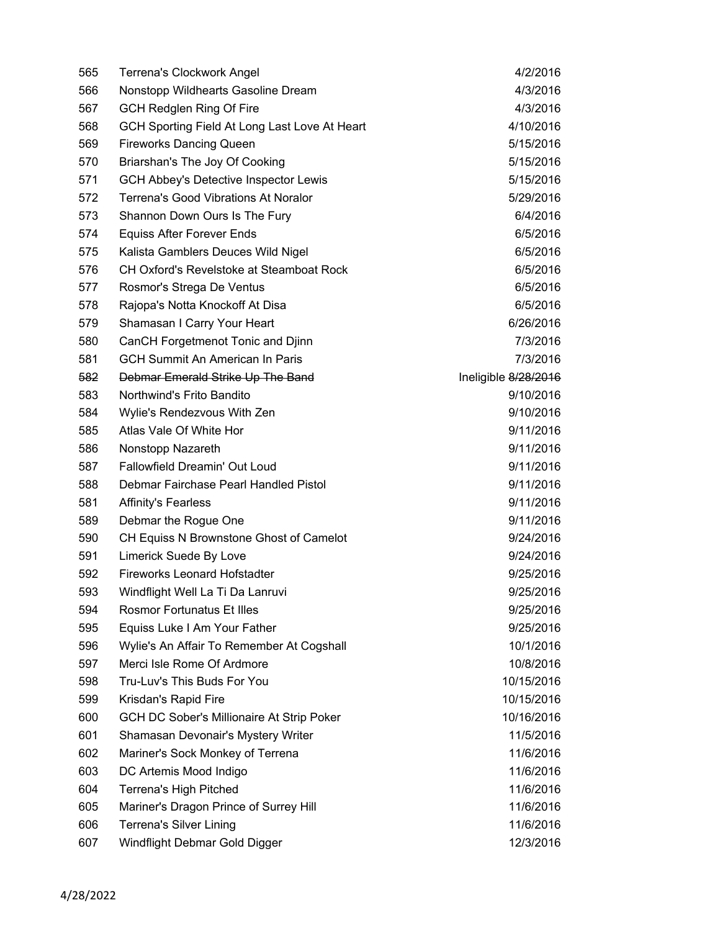| 565 | Terrena's Clockwork Angel                       | 4/2/2016             |
|-----|-------------------------------------------------|----------------------|
| 566 | Nonstopp Wildhearts Gasoline Dream              | 4/3/2016             |
| 567 | <b>GCH Redglen Ring Of Fire</b>                 | 4/3/2016             |
| 568 | GCH Sporting Field At Long Last Love At Heart   | 4/10/2016            |
| 569 | <b>Fireworks Dancing Queen</b>                  | 5/15/2016            |
| 570 | Briarshan's The Joy Of Cooking                  | 5/15/2016            |
| 571 | <b>GCH Abbey's Detective Inspector Lewis</b>    | 5/15/2016            |
| 572 | <b>Terrena's Good Vibrations At Noralor</b>     | 5/29/2016            |
| 573 | Shannon Down Ours Is The Fury                   | 6/4/2016             |
| 574 | <b>Equiss After Forever Ends</b>                | 6/5/2016             |
| 575 | Kalista Gamblers Deuces Wild Nigel              | 6/5/2016             |
| 576 | <b>CH Oxford's Revelstoke at Steamboat Rock</b> | 6/5/2016             |
| 577 | Rosmor's Strega De Ventus                       | 6/5/2016             |
| 578 | Rajopa's Notta Knockoff At Disa                 | 6/5/2016             |
| 579 | Shamasan I Carry Your Heart                     | 6/26/2016            |
| 580 | CanCH Forgetmenot Tonic and Djinn               | 7/3/2016             |
| 581 | <b>GCH Summit An American In Paris</b>          | 7/3/2016             |
| 582 | Debmar Emerald Strike Up The Band               | Ineligible 8/28/2016 |
| 583 | Northwind's Frito Bandito                       | 9/10/2016            |
| 584 | Wylie's Rendezvous With Zen                     | 9/10/2016            |
| 585 | Atlas Vale Of White Hor                         | 9/11/2016            |
| 586 | Nonstopp Nazareth                               | 9/11/2016            |
| 587 | Fallowfield Dreamin' Out Loud                   | 9/11/2016            |
| 588 | Debmar Fairchase Pearl Handled Pistol           | 9/11/2016            |
| 581 | <b>Affinity's Fearless</b>                      | 9/11/2016            |
| 589 | Debmar the Rogue One                            | 9/11/2016            |
| 590 | CH Equiss N Brownstone Ghost of Camelot         | 9/24/2016            |
| 591 | Limerick Suede By Love                          | 9/24/2016            |
| 592 | <b>Fireworks Leonard Hofstadter</b>             | 9/25/2016            |
| 593 | Windflight Well La Ti Da Lanruvi                | 9/25/2016            |
| 594 | <b>Rosmor Fortunatus Et Illes</b>               | 9/25/2016            |
| 595 | Equiss Luke I Am Your Father                    | 9/25/2016            |
| 596 | Wylie's An Affair To Remember At Cogshall       | 10/1/2016            |
| 597 | Merci Isle Rome Of Ardmore                      | 10/8/2016            |
| 598 | Tru-Luv's This Buds For You                     | 10/15/2016           |
| 599 | Krisdan's Rapid Fire                            | 10/15/2016           |
| 600 | GCH DC Sober's Millionaire At Strip Poker       | 10/16/2016           |
| 601 | Shamasan Devonair's Mystery Writer              | 11/5/2016            |
| 602 | Mariner's Sock Monkey of Terrena                | 11/6/2016            |
| 603 | DC Artemis Mood Indigo                          | 11/6/2016            |
| 604 | <b>Terrena's High Pitched</b>                   | 11/6/2016            |
| 605 | Mariner's Dragon Prince of Surrey Hill          | 11/6/2016            |
| 606 | <b>Terrena's Silver Lining</b>                  | 11/6/2016            |
| 607 | Windflight Debmar Gold Digger                   | 12/3/2016            |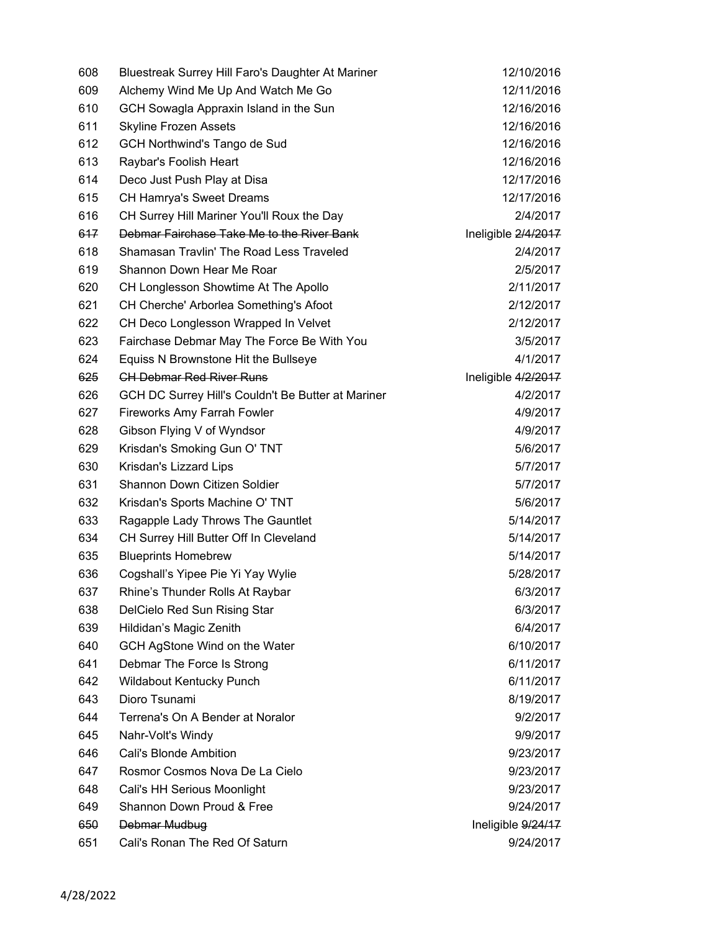| 608 | Bluestreak Surrey Hill Faro's Daughter At Mariner  | 12/10/2016          |
|-----|----------------------------------------------------|---------------------|
| 609 | Alchemy Wind Me Up And Watch Me Go                 | 12/11/2016          |
| 610 | GCH Sowagla Appraxin Island in the Sun             | 12/16/2016          |
| 611 | <b>Skyline Frozen Assets</b>                       | 12/16/2016          |
| 612 | GCH Northwind's Tango de Sud                       | 12/16/2016          |
| 613 | Raybar's Foolish Heart                             | 12/16/2016          |
| 614 | Deco Just Push Play at Disa                        | 12/17/2016          |
| 615 | <b>CH Hamrya's Sweet Dreams</b>                    | 12/17/2016          |
| 616 | CH Surrey Hill Mariner You'll Roux the Day         | 2/4/2017            |
| 617 | Debmar Fairchase Take Me to the River Bank         | Ineligible 2/4/2017 |
| 618 | Shamasan Travlin' The Road Less Traveled           | 2/4/2017            |
| 619 | Shannon Down Hear Me Roar                          | 2/5/2017            |
| 620 | CH Longlesson Showtime At The Apollo               | 2/11/2017           |
| 621 | CH Cherche' Arborlea Something's Afoot             | 2/12/2017           |
| 622 | CH Deco Longlesson Wrapped In Velvet               | 2/12/2017           |
| 623 | Fairchase Debmar May The Force Be With You         | 3/5/2017            |
| 624 | Equiss N Brownstone Hit the Bullseye               | 4/1/2017            |
| 625 | <b>CH Debmar Red River Runs</b>                    | Ineligible 4/2/2017 |
| 626 | GCH DC Surrey Hill's Couldn't Be Butter at Mariner | 4/2/2017            |
| 627 | <b>Fireworks Amy Farrah Fowler</b>                 | 4/9/2017            |
| 628 | Gibson Flying V of Wyndsor                         | 4/9/2017            |
| 629 | Krisdan's Smoking Gun O' TNT                       | 5/6/2017            |
| 630 | Krisdan's Lizzard Lips                             | 5/7/2017            |
| 631 | Shannon Down Citizen Soldier                       | 5/7/2017            |
| 632 | Krisdan's Sports Machine O' TNT                    | 5/6/2017            |
| 633 | Ragapple Lady Throws The Gauntlet                  | 5/14/2017           |
| 634 | CH Surrey Hill Butter Off In Cleveland             | 5/14/2017           |
| 635 | <b>Blueprints Homebrew</b>                         | 5/14/2017           |
| 636 | Cogshall's Yipee Pie Yi Yay Wylie                  | 5/28/2017           |
| 637 | Rhine's Thunder Rolls At Raybar                    | 6/3/2017            |
| 638 | DelCielo Red Sun Rising Star                       | 6/3/2017            |
| 639 | Hildidan's Magic Zenith                            | 6/4/2017            |
| 640 | GCH AgStone Wind on the Water                      | 6/10/2017           |
| 641 | Debmar The Force Is Strong                         | 6/11/2017           |
| 642 | Wildabout Kentucky Punch                           | 6/11/2017           |
| 643 | Dioro Tsunami                                      | 8/19/2017           |
| 644 | Terrena's On A Bender at Noralor                   | 9/2/2017            |
| 645 | Nahr-Volt's Windy                                  | 9/9/2017            |
| 646 | Cali's Blonde Ambition                             | 9/23/2017           |
| 647 | Rosmor Cosmos Nova De La Cielo                     | 9/23/2017           |
| 648 | Cali's HH Serious Moonlight                        | 9/23/2017           |
| 649 | Shannon Down Proud & Free                          | 9/24/2017           |
| 650 | Debmar Mudbug                                      | Ineligible 9/24/17  |
| 651 | Cali's Ronan The Red Of Saturn                     | 9/24/2017           |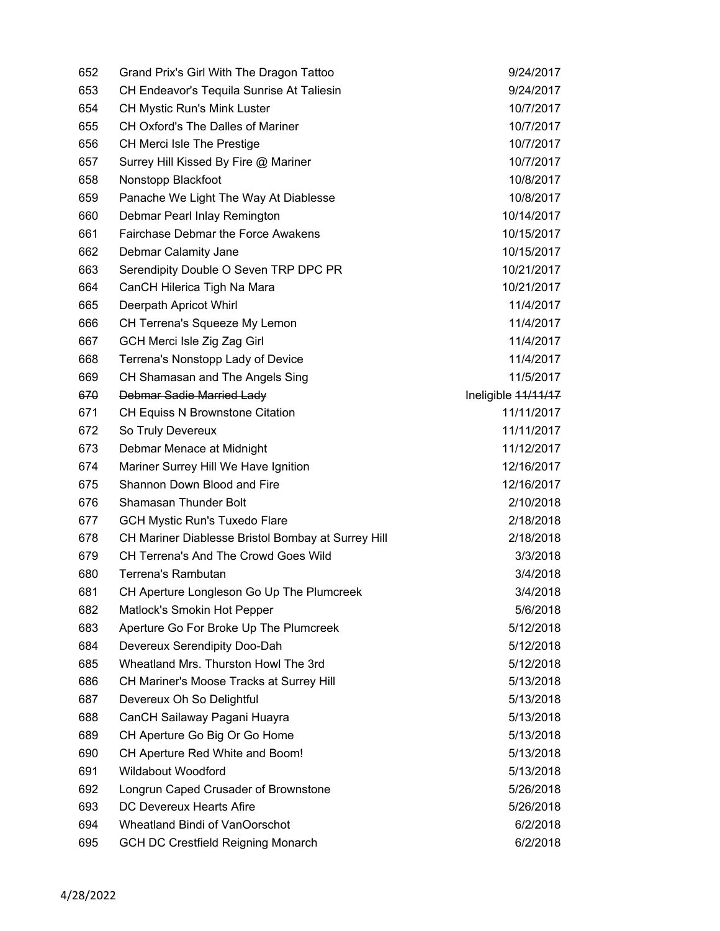| 652 | Grand Prix's Girl With The Dragon Tattoo           | 9/24/2017           |
|-----|----------------------------------------------------|---------------------|
| 653 | CH Endeavor's Tequila Sunrise At Taliesin          | 9/24/2017           |
| 654 | CH Mystic Run's Mink Luster                        | 10/7/2017           |
| 655 | CH Oxford's The Dalles of Mariner                  | 10/7/2017           |
| 656 | CH Merci Isle The Prestige                         | 10/7/2017           |
| 657 | Surrey Hill Kissed By Fire @ Mariner               | 10/7/2017           |
| 658 | Nonstopp Blackfoot                                 | 10/8/2017           |
| 659 | Panache We Light The Way At Diablesse              | 10/8/2017           |
| 660 | Debmar Pearl Inlay Remington                       | 10/14/2017          |
| 661 | <b>Fairchase Debmar the Force Awakens</b>          | 10/15/2017          |
| 662 | Debmar Calamity Jane                               | 10/15/2017          |
| 663 | Serendipity Double O Seven TRP DPC PR              | 10/21/2017          |
| 664 | CanCH Hilerica Tigh Na Mara                        | 10/21/2017          |
| 665 | Deerpath Apricot Whirl                             | 11/4/2017           |
| 666 | CH Terrena's Squeeze My Lemon                      | 11/4/2017           |
| 667 | GCH Merci Isle Zig Zag Girl                        | 11/4/2017           |
| 668 | Terrena's Nonstopp Lady of Device                  | 11/4/2017           |
| 669 | CH Shamasan and The Angels Sing                    | 11/5/2017           |
| 670 | Debmar Sadie Married Lady                          | Ineligible 11/11/17 |
| 671 | <b>CH Equiss N Brownstone Citation</b>             | 11/11/2017          |
| 672 | So Truly Devereux                                  | 11/11/2017          |
| 673 | Debmar Menace at Midnight                          | 11/12/2017          |
| 674 | Mariner Surrey Hill We Have Ignition               | 12/16/2017          |
| 675 | Shannon Down Blood and Fire                        | 12/16/2017          |
| 676 | Shamasan Thunder Bolt                              | 2/10/2018           |
| 677 | <b>GCH Mystic Run's Tuxedo Flare</b>               | 2/18/2018           |
| 678 | CH Mariner Diablesse Bristol Bombay at Surrey Hill | 2/18/2018           |
| 679 | CH Terrena's And The Crowd Goes Wild               | 3/3/2018            |
| 680 | Terrena's Rambutan                                 | 3/4/2018            |
| 681 | CH Aperture Longleson Go Up The Plumcreek          | 3/4/2018            |
| 682 | Matlock's Smokin Hot Pepper                        | 5/6/2018            |
| 683 | Aperture Go For Broke Up The Plumcreek             | 5/12/2018           |
| 684 | Devereux Serendipity Doo-Dah                       | 5/12/2018           |
| 685 | Wheatland Mrs. Thurston Howl The 3rd               | 5/12/2018           |
| 686 | CH Mariner's Moose Tracks at Surrey Hill           | 5/13/2018           |
| 687 | Devereux Oh So Delightful                          | 5/13/2018           |
| 688 | CanCH Sailaway Pagani Huayra                       | 5/13/2018           |
| 689 | CH Aperture Go Big Or Go Home                      | 5/13/2018           |
| 690 | CH Aperture Red White and Boom!                    | 5/13/2018           |
| 691 | <b>Wildabout Woodford</b>                          | 5/13/2018           |
| 692 | Longrun Caped Crusader of Brownstone               | 5/26/2018           |
| 693 | DC Devereux Hearts Afire                           | 5/26/2018           |
| 694 | Wheatland Bindi of VanOorschot                     | 6/2/2018            |
| 695 | <b>GCH DC Crestfield Reigning Monarch</b>          | 6/2/2018            |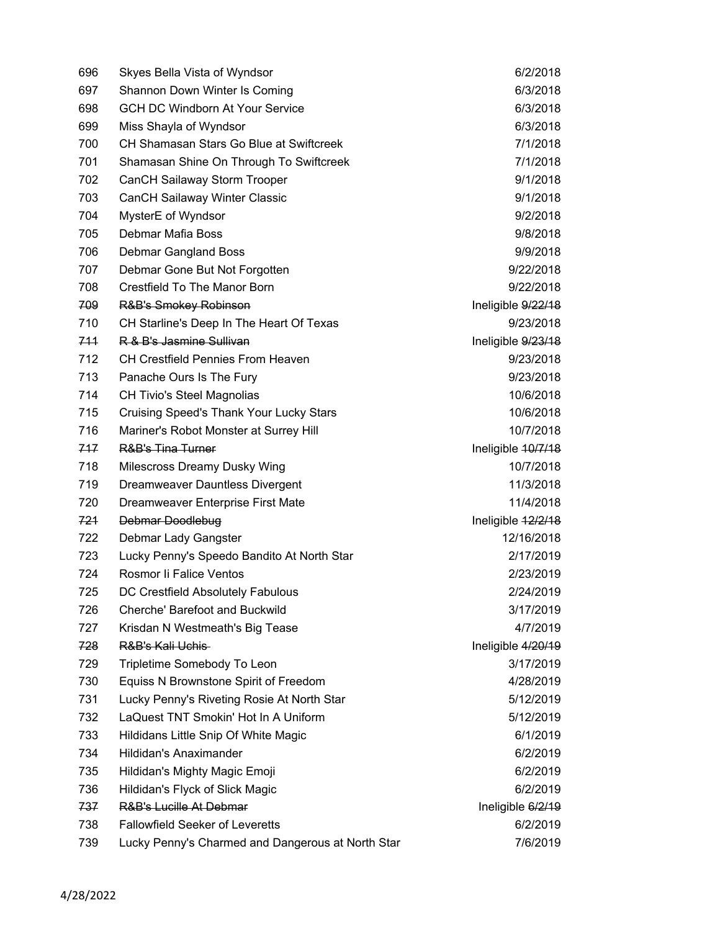| 696 | Skyes Bella Vista of Wyndsor                      | 6/2/2018           |
|-----|---------------------------------------------------|--------------------|
| 697 | Shannon Down Winter Is Coming                     | 6/3/2018           |
| 698 | <b>GCH DC Windborn At Your Service</b>            | 6/3/2018           |
| 699 | Miss Shayla of Wyndsor                            | 6/3/2018           |
| 700 | CH Shamasan Stars Go Blue at Swiftcreek           | 7/1/2018           |
| 701 | Shamasan Shine On Through To Swiftcreek           | 7/1/2018           |
| 702 | CanCH Sailaway Storm Trooper                      | 9/1/2018           |
| 703 | <b>CanCH Sailaway Winter Classic</b>              | 9/1/2018           |
| 704 | MysterE of Wyndsor                                | 9/2/2018           |
| 705 | Debmar Mafia Boss                                 | 9/8/2018           |
| 706 | Debmar Gangland Boss                              | 9/9/2018           |
| 707 | Debmar Gone But Not Forgotten                     | 9/22/2018          |
| 708 | Crestfield To The Manor Born                      | 9/22/2018          |
| 709 | <b>R&amp;B's Smokey Robinson</b>                  | Ineligible 9/22/18 |
| 710 | CH Starline's Deep In The Heart Of Texas          | 9/23/2018          |
| 711 | R & B's Jasmine Sullivan                          | Ineligible 9/23/18 |
| 712 | <b>CH Crestfield Pennies From Heaven</b>          | 9/23/2018          |
| 713 | Panache Ours Is The Fury                          | 9/23/2018          |
| 714 | <b>CH Tivio's Steel Magnolias</b>                 | 10/6/2018          |
| 715 | <b>Cruising Speed's Thank Your Lucky Stars</b>    | 10/6/2018          |
| 716 | Mariner's Robot Monster at Surrey Hill            | 10/7/2018          |
| 717 | <b>R&amp;B's Tina Turner</b>                      | Ineligible 40/7/18 |
| 718 | Milescross Dreamy Dusky Wing                      | 10/7/2018          |
| 719 | Dreamweaver Dauntless Divergent                   | 11/3/2018          |
| 720 | Dreamweaver Enterprise First Mate                 | 11/4/2018          |
| 721 | Debmar Doodlebug                                  | Ineligible 12/2/18 |
| 722 | Debmar Lady Gangster                              | 12/16/2018         |
| 723 | Lucky Penny's Speedo Bandito At North Star        | 2/17/2019          |
| 724 | Rosmor li Falice Ventos                           | 2/23/2019          |
| 725 | DC Crestfield Absolutely Fabulous                 | 2/24/2019          |
| 726 | Cherche' Barefoot and Buckwild                    | 3/17/2019          |
| 727 | Krisdan N Westmeath's Big Tease                   | 4/7/2019           |
| 728 | R&B's Kali Uchis-                                 | Ineligible 4/20/19 |
| 729 | Tripletime Somebody To Leon                       | 3/17/2019          |
| 730 | Equiss N Brownstone Spirit of Freedom             | 4/28/2019          |
| 731 | Lucky Penny's Riveting Rosie At North Star        | 5/12/2019          |
| 732 | LaQuest TNT Smokin' Hot In A Uniform              | 5/12/2019          |
| 733 | Hildidans Little Snip Of White Magic              | 6/1/2019           |
| 734 | Hildidan's Anaximander                            | 6/2/2019           |
| 735 | Hildidan's Mighty Magic Emoji                     | 6/2/2019           |
| 736 | Hildidan's Flyck of Slick Magic                   | 6/2/2019           |
| 737 | <b>R&amp;B's Lucille At Debmar</b>                | Ineligible 6/2/19  |
| 738 | <b>Fallowfield Seeker of Leveretts</b>            | 6/2/2019           |
| 739 | Lucky Penny's Charmed and Dangerous at North Star | 7/6/2019           |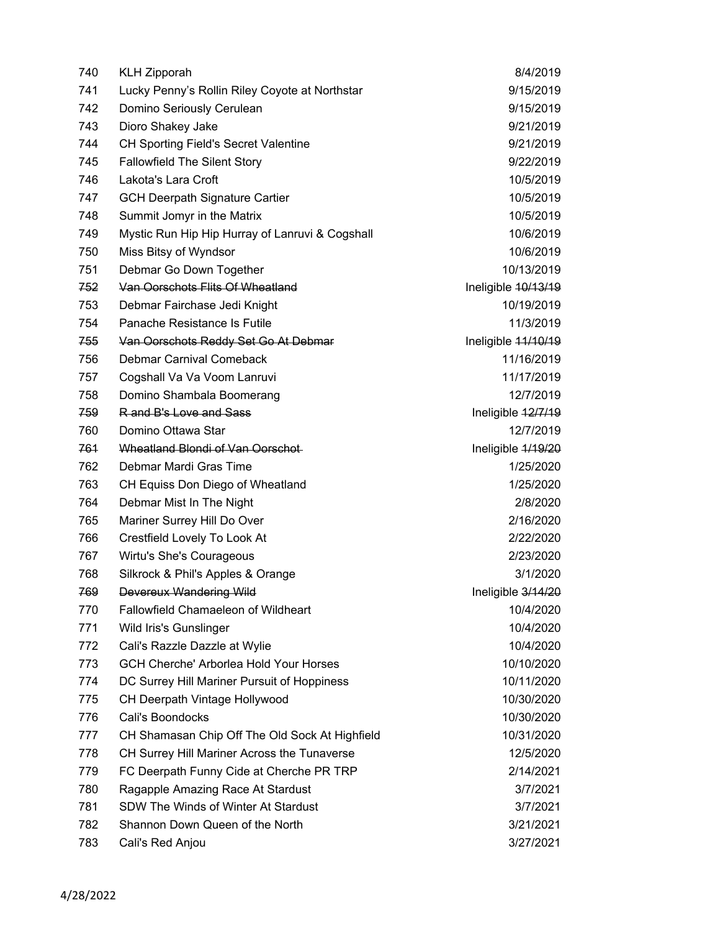| 740 | <b>KLH Zipporah</b>                             | 8/4/2019            |
|-----|-------------------------------------------------|---------------------|
| 741 | Lucky Penny's Rollin Riley Coyote at Northstar  | 9/15/2019           |
| 742 | Domino Seriously Cerulean                       | 9/15/2019           |
| 743 | Dioro Shakey Jake                               | 9/21/2019           |
| 744 | <b>CH Sporting Field's Secret Valentine</b>     | 9/21/2019           |
| 745 | <b>Fallowfield The Silent Story</b>             | 9/22/2019           |
| 746 | Lakota's Lara Croft                             | 10/5/2019           |
| 747 | <b>GCH Deerpath Signature Cartier</b>           | 10/5/2019           |
| 748 | Summit Jomyr in the Matrix                      | 10/5/2019           |
| 749 | Mystic Run Hip Hip Hurray of Lanruvi & Cogshall | 10/6/2019           |
| 750 | Miss Bitsy of Wyndsor                           | 10/6/2019           |
| 751 | Debmar Go Down Together                         | 10/13/2019          |
| 752 | Van Oorschots Flits Of Wheatland                | Ineligible 10/13/19 |
| 753 | Debmar Fairchase Jedi Knight                    | 10/19/2019          |
| 754 | Panache Resistance Is Futile                    | 11/3/2019           |
| 755 | Van Oorschots Reddy Set Go At Debmar            | Ineligible 44/10/19 |
| 756 | Debmar Carnival Comeback                        | 11/16/2019          |
| 757 | Cogshall Va Va Voom Lanruvi                     | 11/17/2019          |
| 758 | Domino Shambala Boomerang                       | 12/7/2019           |
| 759 | R and B's Love and Sass                         | Ineligible 12/7/19  |
| 760 | Domino Ottawa Star                              | 12/7/2019           |
| 761 | Wheatland Blondi of Van Oorschot-               | Ineligible 4/19/20  |
| 762 | Debmar Mardi Gras Time                          | 1/25/2020           |
| 763 | CH Equiss Don Diego of Wheatland                | 1/25/2020           |
| 764 | Debmar Mist In The Night                        | 2/8/2020            |
| 765 | Mariner Surrey Hill Do Over                     | 2/16/2020           |
| 766 | Crestfield Lovely To Look At                    | 2/22/2020           |
| 767 | Wirtu's She's Courageous                        | 2/23/2020           |
| 768 | Silkrock & Phil's Apples & Orange               | 3/1/2020            |
| 769 | Devereux Wandering Wild                         | Ineligible 3/14/20  |
| 770 | <b>Fallowfield Chamaeleon of Wildheart</b>      | 10/4/2020           |
| 771 | Wild Iris's Gunslinger                          | 10/4/2020           |
| 772 | Cali's Razzle Dazzle at Wylie                   | 10/4/2020           |
| 773 | <b>GCH Cherche' Arborlea Hold Your Horses</b>   | 10/10/2020          |
| 774 | DC Surrey Hill Mariner Pursuit of Hoppiness     | 10/11/2020          |
| 775 | CH Deerpath Vintage Hollywood                   | 10/30/2020          |
| 776 | Cali's Boondocks                                | 10/30/2020          |
| 777 | CH Shamasan Chip Off The Old Sock At Highfield  | 10/31/2020          |
| 778 | CH Surrey Hill Mariner Across the Tunaverse     | 12/5/2020           |
| 779 | FC Deerpath Funny Cide at Cherche PR TRP        | 2/14/2021           |
| 780 | Ragapple Amazing Race At Stardust               | 3/7/2021            |
| 781 | SDW The Winds of Winter At Stardust             | 3/7/2021            |
| 782 | Shannon Down Queen of the North                 | 3/21/2021           |
| 783 | Cali's Red Anjou                                | 3/27/2021           |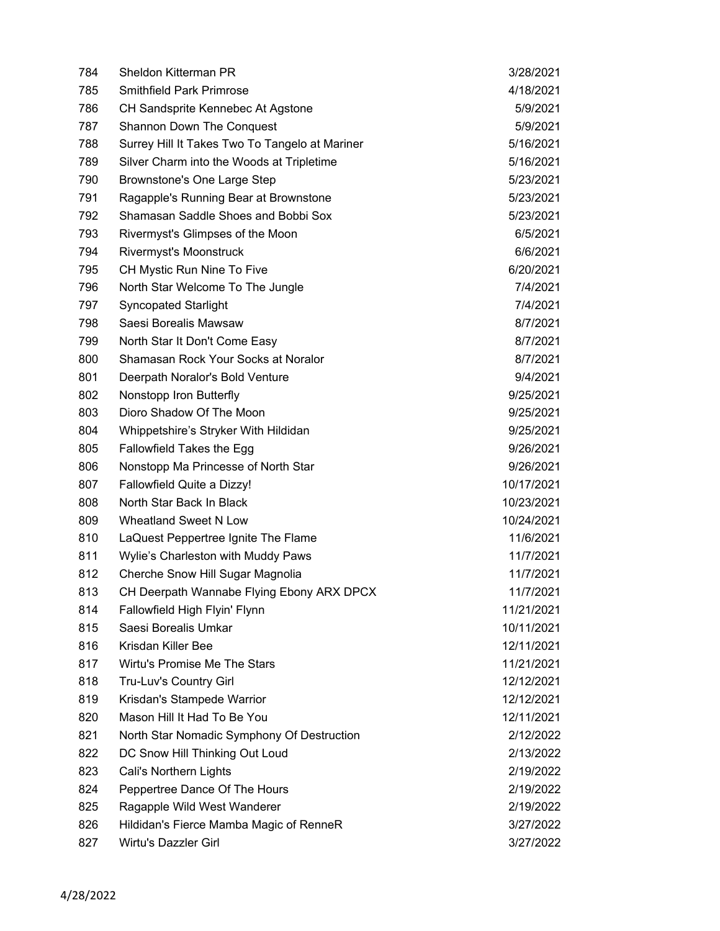| 784 | Sheldon Kitterman PR                           | 3/28/2021  |
|-----|------------------------------------------------|------------|
| 785 | <b>Smithfield Park Primrose</b>                | 4/18/2021  |
| 786 | CH Sandsprite Kennebec At Agstone              | 5/9/2021   |
| 787 | <b>Shannon Down The Conquest</b>               | 5/9/2021   |
| 788 | Surrey Hill It Takes Two To Tangelo at Mariner | 5/16/2021  |
| 789 | Silver Charm into the Woods at Tripletime      | 5/16/2021  |
| 790 | Brownstone's One Large Step                    | 5/23/2021  |
| 791 | Ragapple's Running Bear at Brownstone          | 5/23/2021  |
| 792 | Shamasan Saddle Shoes and Bobbi Sox            | 5/23/2021  |
| 793 | Rivermyst's Glimpses of the Moon               | 6/5/2021   |
| 794 | Rivermyst's Moonstruck                         | 6/6/2021   |
| 795 | CH Mystic Run Nine To Five                     | 6/20/2021  |
| 796 | North Star Welcome To The Jungle               | 7/4/2021   |
| 797 | <b>Syncopated Starlight</b>                    | 7/4/2021   |
| 798 | Saesi Borealis Mawsaw                          | 8/7/2021   |
| 799 | North Star It Don't Come Easy                  | 8/7/2021   |
| 800 | Shamasan Rock Your Socks at Noralor            | 8/7/2021   |
| 801 | Deerpath Noralor's Bold Venture                | 9/4/2021   |
| 802 | Nonstopp Iron Butterfly                        | 9/25/2021  |
| 803 | Dioro Shadow Of The Moon                       | 9/25/2021  |
| 804 | Whippetshire's Stryker With Hildidan           | 9/25/2021  |
| 805 | Fallowfield Takes the Egg                      | 9/26/2021  |
| 806 | Nonstopp Ma Princesse of North Star            | 9/26/2021  |
| 807 | Fallowfield Quite a Dizzy!                     | 10/17/2021 |
| 808 | North Star Back In Black                       | 10/23/2021 |
| 809 | <b>Wheatland Sweet N Low</b>                   | 10/24/2021 |
| 810 | LaQuest Peppertree Ignite The Flame            | 11/6/2021  |
| 811 | Wylie's Charleston with Muddy Paws             | 11/7/2021  |
| 812 | Cherche Snow Hill Sugar Magnolia               | 11/7/2021  |
| 813 | CH Deerpath Wannabe Flying Ebony ARX DPCX      | 11/7/2021  |
| 814 | Fallowfield High Flyin' Flynn                  | 11/21/2021 |
| 815 | Saesi Borealis Umkar                           | 10/11/2021 |
| 816 | Krisdan Killer Bee                             | 12/11/2021 |
| 817 | Wirtu's Promise Me The Stars                   | 11/21/2021 |
| 818 | Tru-Luv's Country Girl                         | 12/12/2021 |
| 819 | Krisdan's Stampede Warrior                     | 12/12/2021 |
| 820 | Mason Hill It Had To Be You                    | 12/11/2021 |
| 821 | North Star Nomadic Symphony Of Destruction     | 2/12/2022  |
| 822 | DC Snow Hill Thinking Out Loud                 | 2/13/2022  |
| 823 | Cali's Northern Lights                         | 2/19/2022  |
| 824 | Peppertree Dance Of The Hours                  | 2/19/2022  |
| 825 | Ragapple Wild West Wanderer                    | 2/19/2022  |
| 826 | Hildidan's Fierce Mamba Magic of RenneR        | 3/27/2022  |
| 827 | Wirtu's Dazzler Girl                           | 3/27/2022  |